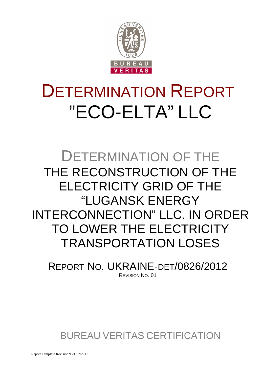

## DETERMINATION REPORT "ECO-ELTA" LLC

### DETERMINATION OF THE THE RECONSTRUCTION OF THE ELECTRICITY GRID OF THE "LUGANSK ENERGY INTERCONNECTION" LLC. IN ORDER TO LOWER THE ELECTRICITY TRANSPORTATION LOSES

REPORT NO. UKRAINE-DET/0826/2012 REVISION NO. 01

BUREAU VERITAS CERTIFICATION

Report Template Revision 9 21/07/2011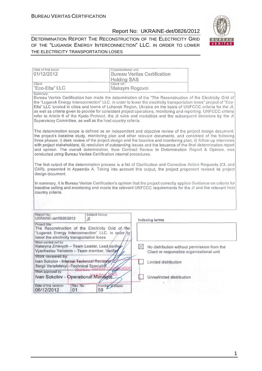

| Date of first issue:<br>01/12/2012                                                                                                                                                                                                                                                                                                                                                                                                                                                                                                                                                                                                                                   | Organizational unit:<br><b>Bureau Veritas Certification</b><br><b>Holding SAS</b> |                |                           |                                                                                          |
|----------------------------------------------------------------------------------------------------------------------------------------------------------------------------------------------------------------------------------------------------------------------------------------------------------------------------------------------------------------------------------------------------------------------------------------------------------------------------------------------------------------------------------------------------------------------------------------------------------------------------------------------------------------------|-----------------------------------------------------------------------------------|----------------|---------------------------|------------------------------------------------------------------------------------------|
| Client:<br>"Eco-Elta" LLC                                                                                                                                                                                                                                                                                                                                                                                                                                                                                                                                                                                                                                            | Client ref.:<br>Maksym Rogovoi                                                    |                |                           |                                                                                          |
| Summary:<br>Bureau Veritas Certification has made the determination of the "The Reconstruction of the Electricity Grid of<br>the "Lugansk Energy Interconnection" LLC. in order to lower the electricity transportation loses" project of "Eco-<br>Elta" LLC located in cities and towns of Luhansk Region, Ukraine on the basis of UNFCCC criteria for the JI,<br>as well as criteria given to provide for consistent project operations, monitoring and reporting. UNFCCC criteria<br>refer to Article 6 of the Kyoto Protocol, the JI rules and modalities and the subsequent decisions by the JI<br>Supervisory Committee, as well as the host country criteria. |                                                                                   |                |                           |                                                                                          |
| The determination scope is defined as an independent and objective review of the project design document,<br>the project's baseline study, monitoring plan and other relevant documents, and consisted of the following<br>three phases: i) desk review of the project design and the baseline and monitoring plan; ii) follow-up interviews<br>with project stakeholders; iii) resolution of outstanding issues and the issuance of the final determination report<br>and opinion. The overall determination, from Contract Review to Determination Report & Opinion, was<br>conducted using Bureau Veritas Certification internal procedures.                      |                                                                                   |                |                           |                                                                                          |
| The first output of the determination process is a list of Clarification and Corrective Action Requests (CL and<br>CAR), presented in Appendix A. Taking into account this output, the project proponent revised its project<br>design document.                                                                                                                                                                                                                                                                                                                                                                                                                     |                                                                                   |                |                           |                                                                                          |
| In summary, it is Bureau Veritas Certification's opinion that the project correctly applies Guidance on criteria for<br>baseline setting and monitoring and meets the relevant UNFCCC requirements for the JI and the relevant host<br>country criteria.                                                                                                                                                                                                                                                                                                                                                                                                             |                                                                                   |                |                           |                                                                                          |
| Report No.:<br>Subject Group:<br>UKRAINE-det/0826/2012<br>JI.                                                                                                                                                                                                                                                                                                                                                                                                                                                                                                                                                                                                        |                                                                                   | Indexing terms |                           |                                                                                          |
| Project title:<br>The Reconstruction of the Electricity Grid of the<br>"Lugansk Energy Interconnection" LLC. in order/to<br>lower the electricity transportation loses                                                                                                                                                                                                                                                                                                                                                                                                                                                                                               |                                                                                   |                |                           |                                                                                          |
| Work carried out by:<br>Kateryna Zinevych - Team Leader, Lead verifier<br>Vyacheslav Yeriomin - Team member, Verifier<br>Work reviewed by:                                                                                                                                                                                                                                                                                                                                                                                                                                                                                                                           |                                                                                   | $\boxtimes$    |                           | No distribution without permission from the<br>Client or responsible organizational unit |
| Ivan Sokolov - Internal Technical Reviewer<br>Sergii Verteletskyi - Technical Specialist                                                                                                                                                                                                                                                                                                                                                                                                                                                                                                                                                                             |                                                                                   |                | Limited distribution      |                                                                                          |
| Work approved by:<br>Ivan Sokolov - Operational Manager                                                                                                                                                                                                                                                                                                                                                                                                                                                                                                                                                                                                              |                                                                                   |                | Unrestricted distribution |                                                                                          |
| Date of this revision:<br>Rev. No.:<br>06/12/2012<br>01                                                                                                                                                                                                                                                                                                                                                                                                                                                                                                                                                                                                              | Number of pages:<br>59                                                            |                |                           |                                                                                          |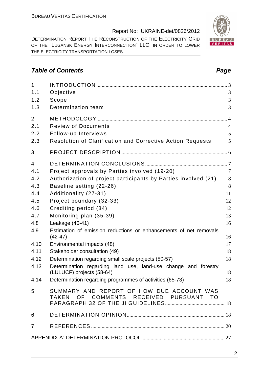DETERMINATION REPORT THE RECONSTRUCTION OF THE ELECTRICITY GRID OF THE "LUGANSK ENERGY INTERCONNECTION" LLC. IN ORDER TO LOWER THE ELECTRICITY TRANSPORTATION LOSES

#### **Table of Contents Page 2014**

| $\mathbf{1}$   |                                                                                     |                |
|----------------|-------------------------------------------------------------------------------------|----------------|
| 1.1            | Objective                                                                           | 3              |
| 1.2            | Scope                                                                               | 3              |
| 1.3            | Determination team                                                                  | 3              |
| 2              |                                                                                     | $\overline{4}$ |
| 2.1            | <b>Review of Documents</b>                                                          | $\overline{4}$ |
| 2.2            | Follow-up Interviews                                                                | 5              |
| 2.3            | <b>Resolution of Clarification and Corrective Action Requests</b>                   | 5              |
| 3              |                                                                                     |                |
| $\overline{4}$ |                                                                                     |                |
| 4.1            | Project approvals by Parties involved (19-20)                                       | $\overline{7}$ |
| 4.2            | Authorization of project participants by Parties involved (21)                      | 8              |
| 4.3            | Baseline setting (22-26)                                                            | 8              |
| 4.4            | Additionality (27-31)                                                               | 11             |
| 4.5            | Project boundary (32-33)                                                            | 12             |
| 4.6            | Crediting period (34)                                                               | 12             |
| 4.7            | Monitoring plan (35-39)                                                             | 13             |
| 4.8            | Leakage (40-41)                                                                     | 16             |
| 4.9            | Estimation of emission reductions or enhancements of net removals<br>$(42-47)$      | 16             |
| 4.10           | Environmental impacts (48)                                                          | 17             |
| 4.11           | Stakeholder consultation (49)                                                       | 18             |
| 4.12           | Determination regarding small scale projects (50-57)                                | 18             |
| 4.13           | Determination regarding land use, land-use change and forestry                      |                |
|                | (LULUCF) projects (58-64)                                                           | 18             |
| 4.14           | Determination regarding programmes of activities (65-73)                            | 18             |
| 5              | SUMMARY AND REPORT OF HOW DUE ACCOUNT WAS<br>TAKEN OF COMMENTS RECEIVED PURSUANT TO |                |
| 6              |                                                                                     |                |
| $\overline{7}$ |                                                                                     |                |
|                |                                                                                     |                |

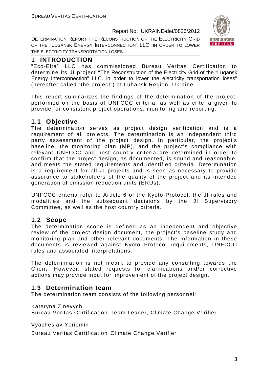DETERMINATION REPORT THE RECONSTRUCTION OF THE ELECTRICITY GRID OF THE "LUGANSK ENERGY INTERCONNECTION" LLC. IN ORDER TO LOWER THE ELECTRICITY TRANSPORTATION LOSES



#### **1 INTRODUCTION**

"Eco-Elta" LLC has commissioned Bureau Veritas Certification to determine its JI project "The Reconstruction of the Electricity Grid of the "Lugansk Energy Interconnection" LLC. in order to lower the electricity transportation loses" (hereafter called "the project") at Luhansk Region, Ukraine.

This report summarizes the findings of the determination of the project, performed on the basis of UNFCCC criteria, as well as criteria given to provide for consistent project operations, monitoring and reporting.

#### **1.1 Objective**

The determination serves as project design verification and is a requirement of all projects. The determination is an independent third party assessment of the project design. In particular, the project's baseline, the monitoring plan (MP), and the project's compliance with relevant UNFCCC and host country criteria are determined in order to confirm that the project design, as documented, is sound and reasonable, and meets the stated requirements and identified criteria. Determination is a requirement for all JI projects and is seen as necessary to provide assurance to stakeholders of the quality of the project and its intended generation of emission reduction units (ERUs).

UNFCCC criteria refer to Article 6 of the Kyoto Protocol, the JI rules and modalities and the subsequent decisions by the JI Supervisory Committee, as well as the host country criteria.

#### **1.2 Scope**

The determination scope is defined as an independent and objective review of the project design document, the project's baseline study and monitoring plan and other relevant documents. The information in these documents is reviewed against Kyoto Protocol requirements, UNFCCC rules and associated interpretations.

The determination is not meant to provide any consulting towards the Client. However, stated requests for clarifications and/or corrective actions may provide input for improvement of the project design.

#### **1.3 Determination team**

The determination team consists of the following personnel:

Kateryna Zinevych

Bureau Veritas Certification Team Leader, Climate Change Verifier

Vyacheslav Yeriomin

Bureau Veritas Certification Climate Change Verifier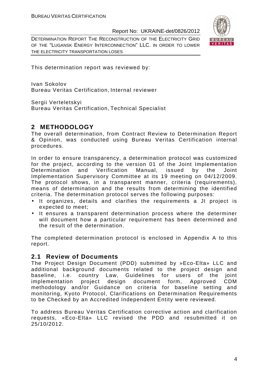DETERMINATION REPORT THE RECONSTRUCTION OF THE ELECTRICITY GRID OF THE "LUGANSK ENERGY INTERCONNECTION" LLC. IN ORDER TO LOWER THE ELECTRICITY TRANSPORTATION LOSES



This determination report was reviewed by:

Ivan Sokolov Bureau Veritas Certification, Internal reviewer

Sergii Verteletskyi

Bureau Veritas Certification, Technical Specialist

#### **2 METHODOLOGY**

The overall determination, from Contract Review to Determination Report & Opinion, was conducted using Bureau Veritas Certification internal procedures.

In order to ensure transparency, a determination protocol was customized for the project, according to the version 01 of the Joint Implementation Determination and Verification Manual, issued by the Joint Implementation Supervisory Committee at its 19 meeting on 04/12/2009. The protocol shows, in a transparent manner, criteria (requirements), means of determination and the results from determining the identified criteria. The determination protocol serves the following purposes:

- It organizes, details and clarifies the requirements a JI project is expected to meet;
- It ensures a transparent determination process where the determiner will document how a particular requirement has been determined and the result of the determination.

The completed determination protocol is enclosed in Appendix A to this report.

#### **2.1 Review of Documents**

The Project Design Document (PDD) submitted by »Eco-Elta» LLC and additional background documents related to the project design and baseline, i.e. country Law, Guidelines for users of the joint implementation project design document form, Approved CDM methodology and/or Guidance on criteria for baseline setting and monitoring, Kyoto Protocol, Clarifications on Determination Requirements to be Checked by an Accredited Independent Entity were reviewed.

To address Bureau Veritas Certification corrective action and clarification requests, «Eco-Elta» LLC revised the PDD and resubmitted it on 25/10/2012.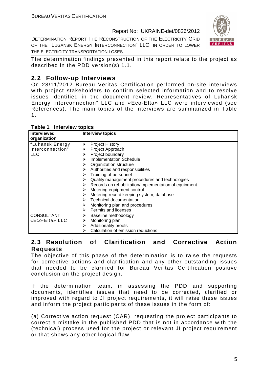DETERMINATION REPORT THE RECONSTRUCTION OF THE ELECTRICITY GRID OF THE "LUGANSK ENERGY INTERCONNECTION" LLC. IN ORDER TO LOWER THE ELECTRICITY TRANSPORTATION LOSES



The determination findings presented in this report relate to the project as described in the PDD version(s) 1.1.

#### **2.2 Follow-up Interviews**

On 28/11/2012 Bureau Veritas Certification performed on-site interviews with project stakeholders to confirm selected information and to resolve issues identified in the document review. Representatives of Luhansk Energy Interconnection" LLC and «Eco-Elta» LLC were interviewed (see References). The main topics of the interviews are summarized in Table 1.

| Interviewed<br>organization | <b>Interview topics</b>                                    |
|-----------------------------|------------------------------------------------------------|
| "Luhansk Energy             | <b>Project History</b><br>⋗                                |
| Interconnection"            | Project Approach                                           |
| ILLC                        | Project boundary                                           |
|                             | <b>Implementation Schedule</b>                             |
|                             | Organization structure                                     |
|                             | Authorities and responsibilities                           |
|                             | Training of personnel                                      |
|                             | Quality management procedures and technologies             |
|                             | Records on rehabilitation/implementation of equipment<br>➤ |
|                             | Metering equipment control                                 |
|                             | Metering record keeping system, database                   |
|                             | <b>Technical documentation</b>                             |
|                             | Monitoring plan and procedures                             |
|                             | Permits and licenses<br>➤                                  |
| <b>CONSULTANT</b>           | Baseline methodology<br>➤                                  |
| «Eco-Elta» LLC              | Monitoring plan                                            |
|                             | Additionality proofs                                       |
|                             | Calculation of emission reductions                         |

#### **Table 1 Interview topics**

#### **2.3 Resolution of Clarification and Corrective Action Requests**

The objective of this phase of the determination is to raise the requests for corrective actions and clarification and any other outstanding issues that needed to be clarified for Bureau Veritas Certification positive conclusion on the project design.

If the determination team, in assessing the PDD and supporting documents, identifies issues that need to be corrected, clarified or improved with regard to JI project requirements, it will raise these issues and inform the project participants of these issues in the form of:

(a) Corrective action request (CAR), requesting the project participants to correct a mistake in the published PDD that is not in accordance with the (technical) process used for the project or relevant JI project requirement or that shows any other logical flaw;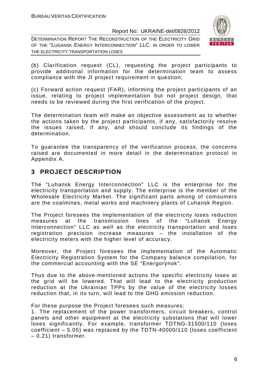DETERMINATION REPORT THE RECONSTRUCTION OF THE ELECTRICITY GRID OF THE "LUGANSK ENERGY INTERCONNECTION" LLC. IN ORDER TO LOWER THE ELECTRICITY TRANSPORTATION LOSES



(b) Clarification request (CL), requesting the project participants to provide additional information for the determination team to assess compliance with the JI project requirement in question;

(c) Forward action request (FAR), informing the project participants of an issue, relating to project implementation but not project design, that needs to be reviewed during the first verification of the project.

The determination team will make an objective assessment as to whether the actions taken by the project participants, if any, satisfactorily resolve the issues raised, if any, and should conclude its findings of the determination.

To guarantee the transparency of the verification process, the concerns raised are documented in more detail in the determination protocol in Appendix A.

#### **3 PROJECT DESCRIPTION**

The "Luhansk Energy Interconnection" LLC is the enterprise for the electricity transportation and supply. The enterprise is the member of the Wholesale Electricity Market. The significant parts among of comsumers are the coalmines, metal works and machinery plants of Luhansk Region.

The Project foresees the implementation of the electricity loses reduction measures at the transmission lines of the "Luhansk Energy Interconnection" LLC as well as the electricity transportation and loses registration precision increase measures – the installation of the electricity meters with the higher level of accuracy.

Moreover, the Project foresees the implementation of the Automatic Electricity Registration System for the Company balance compilation, for the commercial accounting with the SE "Energorynok".

Thus due to the above-mentioned actions the specific electricity loses at the grid will be lowered. That will lead to the electricity production reduction at the Ukrainian TPPs by the value of the electricity losses reduction that, in its turn, will lead to the GHG emission reduction.

For these purpose the Project foresees such measures:

1. The replacement of the power transformers, circuit breakers, control panels and other equipment at the electricity substations that will lower loses significantly. For example, transformer ТDTNG-31500/110 (loses coefficient – 5.05) was replaced by the ТDТN-40000/110 (loses coefficient – 0.21) transformer.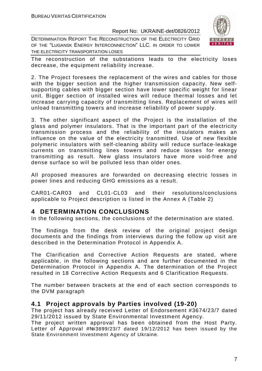DETERMINATION REPORT THE RECONSTRUCTION OF THE ELECTRICITY GRID OF THE "LUGANSK ENERGY INTERCONNECTION" LLC. IN ORDER TO LOWER THE ELECTRICITY TRANSPORTATION LOSES



The reconstruction of the substations leads to the electricity loses decrease, the equipment reliability increase.

2. The Project foresees the replacement of the wires and cables for those with the bigger section and the higher transmission capacity. New selfsupporting cables with bigger section have lower specific weight for linear unit. Bigger section of installed wires will reduce thermal losses and let increase carrying capacity of transmitting lines. Replacement of wires will unload transmitting towers and increase reliability of power supply.

3. The other significant aspect of the Project is the installation of the glass and polymer insulators. That is the important part of the electricity transmission process and the reliability of the insulators makes an influence on the value of the electricity transmitted. Use of new flexible polymeric insulators with self-cleaning ability will reduce surface-leakage currents on transmitting lines towers and reduce losses for energy transmitting as result. New glass insulators have more void-free and dense surface so will be polluted less than older ones.

All proposed measures are forwarded on decreasing electric losses in power lines and reducing GHG emissions as a result.

CAR01-CAR03 and CL01-CL03 and their resolutions/conclusions applicable to Project description is listed in the Annex A (Table 2)

#### **4 DETERMINATION CONCLUSIONS**

In the following sections, the conclusions of the determination are stated.

The findings from the desk review of the original project design documents and the findings from interviews during the follow up visit are described in the Determination Protocol in Appendix A.

The Clarification and Corrective Action Requests are stated, where applicable, in the following sections and are further documented in the Determination Protocol in Appendix A. The determination of the Project resulted in 18 Corrective Action Requests and 6 Clarification Requests.

The number between brackets at the end of each section corresponds to the DVM paragraph

#### **4.1 Project approvals by Parties involved (19-20)**

The project has already received Letter of Endorsement #3674/23/7 dated 29/11/2012 issued by State Environmental Investment Agency.

The project written approval has been obtained from the Host Party. Letter of Approval #№3899/23/7 dated 19/12/2012 has been issued by the State Environment Investment Agency of Ukraine.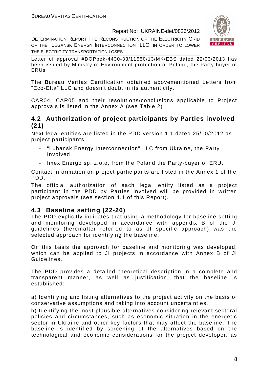DETERMINATION REPORT THE RECONSTRUCTION OF THE ELECTRICITY GRID OF THE "LUGANSK ENERGY INTERCONNECTION" LLC. IN ORDER TO LOWER THE ELECTRICITY TRANSPORTATION LOSES



Letter of approval #DOPpek-4430-33/11550/13/MK/EBS dated 22/03/2013 has been issued by Ministry of Environment protection of Poland, the Party-buyer of ERUs

The Bureau Veritas Certification obtained abovementioned Letters from "Eco-Elta" LLC and doesn't doubt in its authenticity.

CAR04, CAR05 and their resolutions/conclusions applicable to Project approvals is listed in the Annex A (see Table 2)

#### **4.2 Authorization of project participants by Parties involved (21)**

Next legal entities are listed in the PDD version 1.1 dated 25/10/2012 as project participants:

- "Luhansk Energy Interconnection" LLC from Ukraine, the Party Involved;
- Imex Energo sp. z.o.o, from the Poland the Party-buyer of ERU.

Contact information on project participants are listed in the Annex 1 of the PDD.

The official authorization of each legal entity listed as a project participant in the PDD by Parties involved will be provided in written project approvals (see section 4.1 of this Report).

#### **4.3 Baseline setting (22-26)**

The PDD explicitly indicates that using a methodology for baseline setting and monitoring developed in accordance with appendix B of the JI guidelines (hereinafter referred to as JI specific approach) was the selected approach for identifying the baseline.

On this basis the approach for baseline and monitoring was developed, which can be applied to JI projects in accordance with Annex B of JI Guidelines.

The PDD provides a detailed theoretical description in a complete and transparent manner, as well as justification, that the baseline is established:

a) Identifying and listing alternatives to the project activity on the basis of conservative assumptions and taking into account uncertainties.

b) Identifying the most plausible alternatives considering relevant sectoral policies and circumstances, such as economic situation in the energetic sector in Ukraine and other key factors that may affect the baseline. The baseline is identified by screening of the alternatives based on the technological and economic considerations for the project developer, as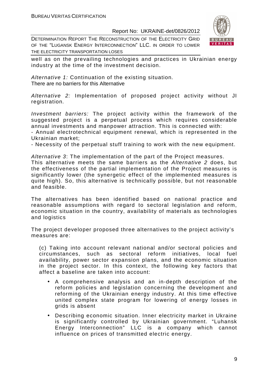DETERMINATION REPORT THE RECONSTRUCTION OF THE ELECTRICITY GRID OF THE "LUGANSK ENERGY INTERCONNECTION" LLC. IN ORDER TO LOWER THE ELECTRICITY TRANSPORTATION LOSES



well as on the prevailing technologies and practices in Ukrainian energy industry at the time of the investment decision.

Alternative 1: Continuation of the existing situation. There are no barriers for this Alternative

Alternative 2: Implementation of proposed project activity without JI registration.

Investment barriers: The project activity within the framework of the suggested project is a perpetual process which requires considerable annual investments and manpower attraction. This is connected with:

- Annual electrotechnical equipment renewal, which is represented in the Ukrainian market;

- Necessity of the perpetual stuff training to work with the new equipment.

Alternative 3: The implementation of the part of the Project measures.

This alternative meets the same barriers as the Alternative 2 does, but the effectiveness of the partial implementation of the Project measures is significantly lower (the synergetic effect of the implemented measures is quite high). So, this alternative is technically possible, but not reasonable and feasible.

The alternatives has been identified based on national practice and reasonable assumptions with regard to sectoral legislation and reform, economic situation in the country, availability of materials as technologies and logistics

The project developer proposed three alternatives to the project activity's measures are:

(c) Taking into account relevant national and/or sectoral policies and circumstances, such as sectoral reform initiatives, local fuel availability, power sector expansion plans, and the economic situation in the project sector. In this context, the following key factors that affect a baseline are taken into account:

- A comprehensive analysis and an in-depth description of the reform policies and legislation concerning the development and reforming of the Ukrainian energy industry. At this time effective united complex state program for lowering of energy losses in grids is absent
- Describing economic situation. Inner electricity market in Ukraine is significantly controlled by Ukrainian government. "Luhansk Energy Interconnection" LLC is a company which cannot influence on prices of transmitted electric energy.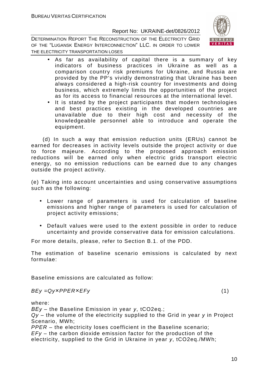DETERMINATION REPORT THE RECONSTRUCTION OF THE ELECTRICITY GRID OF THE "LUGANSK ENERGY INTERCONNECTION" LLC. IN ORDER TO LOWER THE ELECTRICITY TRANSPORTATION LOSES



- As far as availability of capital there is a summary of key indicators of business practices in Ukraine as well as a comparison country risk premiums for Ukraine, and Russia are provided by the PP's vividly demonstrating that Ukraine has been always considered a high-risk country for investments and doing business, which extremely limits the opportunities of the project as for its access to financial resources at the international level.
- It is stated by the project participants that modern technologies and best practices existing in the developed countries are unavailable due to their high cost and necessity of the knowledgeable personnel able to introduce and operate the equipment.

 (d) In such a way that emission reduction units (ERUs) cannot be earned for decreases in activity levels outside the project activity or due to force majeure. According to the proposed approach emission reductions will be earned only when electric grids transport electric energy, so no emission reductions can be earned due to any changes outside the project activity.

(e) Taking into account uncertainties and using conservative assumptions such as the following:

- Lower range of parameters is used for calculation of baseline emissions and higher range of parameters is used for calculation of project activity emissions;
- Default values were used to the extent possible in order to reduce uncertainty and provide conservative data for emission calculations.

For more details, please, refer to Section B.1. of the PDD.

The estimation of baseline scenario emissions is calculated by next formulae:

Baseline emissions are calculated as follow:

 $BEy = Qy \times PPER \times EFy$  (1)

where:

*ВЕу* – the Baseline Emission in year *у*, tCO2eq.;

Qy – the volume of the electricity supplied to the Grid in year *у* in Project Scenario, MWh;

PPER – the electricity loses coefficient in the Baseline scenario;  $EFy -$  the carbon dioxide emission factor for the production of the electricity, supplied to the Grid in Ukraine in year *у*, tCO2eq./MWh;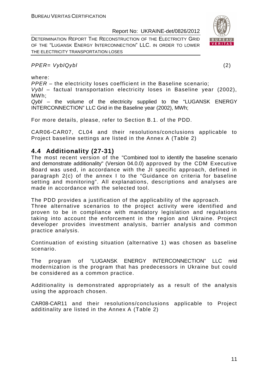DETERMINATION REPORT THE RECONSTRUCTION OF THE ELECTRICITY GRID OF THE "LUGANSK ENERGY INTERCONNECTION" LLC. IN ORDER TO LOWER THE ELECTRICITY TRANSPORTATION LOSES

#### PPER= VyblQybl (2)

where:

PPER – the electricity loses coefficient in the Baseline scenario;

Vybl – factual transportation electricity loses in Baseline year (2002), MWh;

Qybl – the volume of the electricity supplied to the "LUGANSK ENERGY INTERCONNECTION" LLC Grid in the Baseline year (2002), MWh;

For more details, please, refer to Section B.1. of the PDD.

CAR06-CAR07, CL04 and their resolutions/conclusions applicable to Project baseline settings are listed in the Annex A (Table 2)

#### **4.4 Additionality (27-31)**

The most recent version of the "Combined tool to identify the baseline scenario and demonstrate additionality" (Version 04.0.0) approved by the CDM Executive Board was used, in accordance with the JI specific approach, defined in paragraph 2(c) of the annex I to the "Guidance on criteria for baseline setting and monitoring". All explanations, descriptions and analyses are made in accordance with the selected tool.

The PDD provides a justification of the applicability of the approach.

Three alternative scenarios to the project activity were identified and proven to be in compliance with mandatory legislation and regulations taking into account the enforcement in the region and Ukraine. Project developer provides investment analysis, barrier analysis and common practice analysis.

Continuation of existing situation (alternative 1) was chosen as baseline scenario.

The program of "LUGANSK ENERGY INTERCONNECTION" LLC пrid modernization is the program that has predecessors in Ukraine but could be considered as a common practice.

Additionality is demonstrated appropriately as a result of the analysis using the approach chosen.

CAR08-CAR11 and their resolutions/conclusions applicable to Project additinality are listed in the Annex A (Table 2)

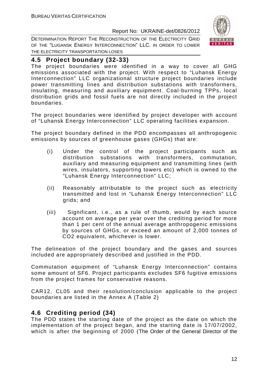DETERMINATION REPORT THE RECONSTRUCTION OF THE ELECTRICITY GRID OF THE "LUGANSK ENERGY INTERCONNECTION" LLC. IN ORDER TO LOWER THE ELECTRICITY TRANSPORTATION LOSES



#### **4.5 Project boundary (32-33)**

The project boundaries were identified in a way to cover all GHG emissions associated with the project. With respect to "Luhansk Energy Interconnection" LLC organizational structure project boundaries include power transmitting lines and distribution substations with transformers, insulating, measuring and auxiliary equipment. Coal-burning TPPs, local distribution grids and fossil fuels are not directly included in the project boundaries.

The project boundaries were identified by project developer with account of "Luhansk Energy Interconnection" LLC operating facilities expansion.

The project boundary defined in the PDD encompasses all anthropogenic emissions by sources of greenhouse gases (GHGs) that are:

- (i) Under the control of the project participants such as distribution substations with transformers, commutation, auxiliary and measuring equipment and transmitting lines (with wires, insulators, supporting towers etc) which is owned to the "Luhansk Energy Interconnection" LLC;
- (ii) Reasonably attributable to the project such as electricity transmitted and lost in "Luhansk Energy Interconnection" LLC grids; and
- (iii) Significant, i.e., as a rule of thumb, would by each source account on average per year over the crediting period for more than 1 per cent of the annual average anthropogenic emissions by sources of GHGs, or exceed an amount of 2,000 tonnes of CO2 equivalent, whichever is lower.

The delineation of the project boundary and the gases and sources included are appropriately described and justified in the PDD.

Commutation equipment of "Luhansk Energy Interconnection" contains some amount of SF6. Project participants excludes SF6 fugitive emissions from the project frames for conservative reasons.

CAR12, CL05 and their resolution/conclusion applicable to the project boundaries are listed in the Annex A (Table 2)

#### **4.6 Crediting period (34)**

The PDD states the starting date of the project as the date on which the implementation of the project began, and the starting date is 17/07/2002, which is after the beginning of 2000 (The Order of the General Director of the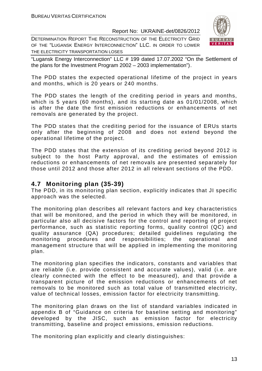DETERMINATION REPORT THE RECONSTRUCTION OF THE ELECTRICITY GRID OF THE "LUGANSK ENERGY INTERCONNECTION" LLC. IN ORDER TO LOWER THE ELECTRICITY TRANSPORTATION LOSES



"Lugansk Energy Interconnection" LLC # 199 dated 17.07.2002 "On the Settlement of the plans for the Investment Program 2002 – 2003 implementation").

The PDD states the expected operational lifetime of the project in years and months, which is 20 years or 240 months.

The PDD states the length of the crediting period in years and months, which is 5 years (60 months), and its starting date as 01/01/2008, which is after the date the first emission reductions or enhancements of net removals are generated by the project.

The PDD states that the crediting period for the issuance of ERUs starts only after the beginning of 2008 and does not extend beyond the operational lifetime of the project.

The PDD states that the extension of its crediting period beyond 2012 is subject to the host Party approval, and the estimates of emission reductions or enhancements of net removals are presented separately for those until 2012 and those after 2012 in all relevant sections of the PDD.

#### **4.7 Monitoring plan (35-39)**

The PDD, in its monitoring plan section, explicitly indicates that JI specific approach was the selected.

The monitoring plan describes all relevant factors and key characteristics that will be monitored, and the period in which they will be monitored, in particular also all decisive factors for the control and reporting of project performance, such as statistic reporting forms, quality control (QC) and quality assurance (QA) procedures; detailed guidelines regulating the monitoring procedures and responsibilities; the operational and management structure that will be applied in implementing the monitoring plan.

The monitoring plan specifies the indicators, constants and variables that are reliable (i.e. provide consistent and accurate values), valid (i.e. are clearly connected with the effect to be measured), and that provide a transparent picture of the emission reductions or enhancements of net removals to be monitored such as total value of transmitted electricity, value of technical losses, emission factor for electricity transmitting.

The monitoring plan draws on the list of standard variables indicated in appendix B of "Guidance on criteria for baseline setting and monitoring" developed by the JISC, such as emission factor for electricity transmitting, baseline and project emissions, emission reductions.

The monitoring plan explicitly and clearly distinguishes: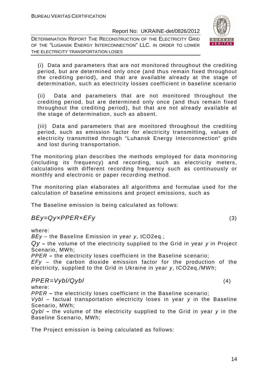DETERMINATION REPORT THE RECONSTRUCTION OF THE ELECTRICITY GRID OF THE "LUGANSK ENERGY INTERCONNECTION" LLC. IN ORDER TO LOWER THE ELECTRICITY TRANSPORTATION LOSES



(i) Data and parameters that are not monitored throughout the crediting period, but are determined only once (and thus remain fixed throughout the crediting period), and that are available already at the stage of determination, such as electricity losses coefficient in baseline scenario

(ii) Data and parameters that are not monitored throughout the crediting period, but are determined only once (and thus remain fixed throughout the crediting period), but that are not already available at the stage of determination, such as absent.

(iii) Data and parameters that are monitored throughout the crediting period, such as emission factor for electricity transmitting, values of electricity transmitted through "Luhansk Energy Interconnection" grids and lost during transportation.

The monitoring plan describes the methods employed for data monitoring (including its frequency) and recording, such as electricity meters, calculations with different recording frequency such as continuously or monthly and electronic or paper recording method.

The monitoring plan elaborates all algorithms and formulae used for the calculation of baseline emissions and project emissions, such as

The Baseline emission is being calculated as follows:

#### $BEy = Qy \times PPER \times EFy$  (3)

where:

*ВЕу* – the Baseline Emission in year *у*, tCO2eq.;

Qy **–** the volume of the electricity supplied to the Grid in year *у* in Project Scenario, MWh;

PPER **–** the electricity loses coefficient in the Baseline scenario;

 $EFy -$  the carbon dioxide emission factor for the production of the electricity, supplied to the Grid in Ukraine in year *у*, tCO2eq./MWh;

#### $PPER=Vybl/Qybl$  (4)

where:

PPER **–** the electricity loses coefficient in the Baseline scenario;

Vybl – factual transportation electricity loses in year *у* in the Baseline Scenario, MWh;

Qybl **–** the volume of the electricity supplied to the Grid in year *у* in the Baseline Scenario, MWh;

The Project emission is being calculated as follows: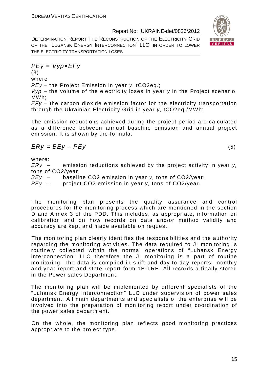

DETERMINATION REPORT THE RECONSTRUCTION OF THE ELECTRICITY GRID OF THE "LUGANSK ENERGY INTERCONNECTION" LLC. IN ORDER TO LOWER THE ELECTRICITY TRANSPORTATION LOSES

$$
PEy = Vyp \times EFy
$$

(3) where

P*Еу* – the Project Emission in year *у*, tCO2eq.;

Vyp – the volume of the electricity loses in year *у* in the Project scenario, MWh;

 $EFy -$  the carbon dioxide emission factor for the electricity transportation through the Ukrainian Electricity Grid in year *у*, tCO2eq./MWh;

The emission reductions achieved during the project period are calculated as a difference between annual baseline emission and annual project emission. It is shown by the formula:

$$
Ery = BEy - PEy \tag{5}
$$

where:

 $ERy -$  emission reductions achieved by the project activity in year y, tons of CO2/year;

BEy – baseline CO2 emission in year y, tons of CO2/year;

PEy – project CO2 emission in year y, tons of CO2/year.

The monitoring plan presents the quality assurance and control procedures for the monitoring process which are mentioned in the section D and Annex 3 of the PDD. This includes, as appropriate, information on calibration and on how records on data and/or method validity and accuracy are kept and made available on request.

The monitoring plan clearly identifies the responsibilities and the authority regarding the monitoring activities. The data required to JI monitoring is routinely collected within the normal operations of "Luhansk Energy interconnection" LLC therefore the JI monitoring is a part of routine monitoring. The data is complied in shift and day-to-day reports, monthly and year report and state report form 1B-TRE. All records a finally stored in the Power sales Department.

The monitoring plan will be implemented by different specialists of the "Luhansk Energy Interconnection" LLC under supervision of power sales department. All main departments and specialists of the enterprise will be involved into the preparation of monitoring report under coordination of the power sales department.

On the whole, the monitoring plan reflects good monitoring practices appropriate to the project type.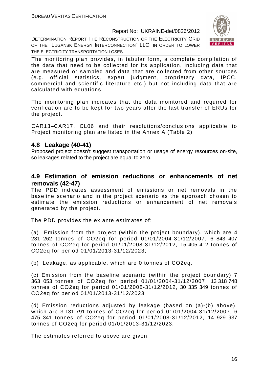DETERMINATION REPORT THE RECONSTRUCTION OF THE ELECTRICITY GRID OF THE "LUGANSK ENERGY INTERCONNECTION" LLC. IN ORDER TO LOWER THE ELECTRICITY TRANSPORTATION LOSES



The monitoring plan provides, in tabular form, a complete compilation of the data that need to be collected for its application, including data that are measured or sampled and data that are collected from other sources (e.g. official statistics, expert judgment, proprietary data, IPCC, commercial and scientific literature etc.) but not including data that are calculated with equations.

The monitoring plan indicates that the data monitored and required for verification are to be kept for two years after the last transfer of ERUs for the project.

CAR13–CAR17, CL06 and their resolutions/conclusions applicable to Project monitoring plan are listed in the Annex A (Table 2)

#### **4.8 Leakage (40-41)**

Proposed project doesn't suggest transportation or usage of energy resources on-site, so leakages related to the project are equal to zero.

#### **4.9 Estimation of emission reductions or enhancements of net removals (42-47)**

The PDD indicates assessment of emissions or net removals in the baseline scenario and in the project scenario as the approach chosen to estimate the emission reductions or enhancement of net removals generated by the project.

The PDD provides the ex ante estimates of:

(a) Emission from the project (within the project boundary), which are 4 231 262 tonnes of CO2eq for period 01/01/2004-31/12/2007, 6 843 407 tonnes of CO2eq for period 01/01/2008-31/12/2012, 15 405 412 tonnes of CO2eq for period 01/01/2013-31/12/2023;

(b) Leakage, as applicable, which are 0 tonnes of CO2eq,

(c) Emission from the baseline scenario (within the project boundary) 7 363 053 tonnes of CO2eq for period 01/01/2004-31/12/2007, 13 318 748 tonnes of CO2eq for period 01/01/2008-31/12/2012, 30 335 349 tonnes of CO2eq for period 01/01/2013-31/12/2023

(d) Emission reductions adjusted by leakage (based on (a)-(b) above), which are 3 131 791 tonnes of CO2eq for period 01/01/2004-31/12/2007, 6 475 341 tonnes of CO2eq for period 01/01/2008-31/12/2012, 14 929 937 tonnes of CO2eq for period 01/01/2013-31/12/2023.

The estimates referred to above are given: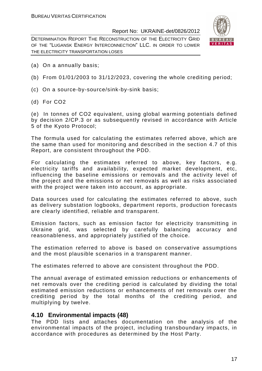DETERMINATION REPORT THE RECONSTRUCTION OF THE ELECTRICITY GRID OF THE "LUGANSK ENERGY INTERCONNECTION" LLC. IN ORDER TO LOWER THE ELECTRICITY TRANSPORTATION LOSES



- (a) On a annually basis;
- (b) From 01/01/2003 to 31/12/2023, covering the whole crediting period;
- (c) On a source-by-source/sink-by-sink basis;
- (d) For CO2

(e) In tonnes of CO2 equivalent, using global warming potentials defined by decision 2/CP.3 or as subsequently revised in accordance with Article 5 of the Kyoto Protocol;

The formula used for calculating the estimates referred above, which are the same than used for monitoring and described in the section 4.7 of this Report, are consistent throughout the PDD.

For calculating the estimates referred to above, key factors, e.g. electricity tariffs and availability, expected market development, etc, influencing the baseline emissions or removals and the activity level of the project and the emissions or net removals as well as risks associated with the project were taken into account, as appropriate.

Data sources used for calculating the estimates referred to above, such as delivery substation logbooks, department reports, production forecasts are clearly identified, reliable and transparent.

Emission factors, such as emission factor for electricity transmitting in Ukraine grid, was selected by carefully balancing accuracy and reasonableness, and appropriately justified of the choice.

The estimation referred to above is based on conservative assumptions and the most plausible scenarios in a transparent manner.

The estimates referred to above are consistent throughout the PDD.

The annual average of estimated emission reductions or enhancements of net removals over the crediting period is calculated by dividing the total estimated emission reductions or enhancements of net removals over the crediting period by the total months of the crediting period, and multiplying by twelve.

#### **4.10 Environmental impacts (48)**

The PDD lists and attaches documentation on the analysis of the environmental impacts of the project, including transboundary impacts, in accordance with procedures as determined by the Host Party.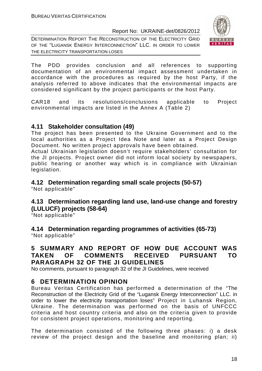DETERMINATION REPORT THE RECONSTRUCTION OF THE ELECTRICITY GRID OF THE "LUGANSK ENERGY INTERCONNECTION" LLC. IN ORDER TO LOWER THE ELECTRICITY TRANSPORTATION LOSES



The PDD provides conclusion and all references to supporting documentation of an environmental impact assessment undertaken in accordance with the procedures as required by the host Party, if the analysis referred to above indicates that the environmental impacts are considered significant by the project participants or the host Party.

CAR18 and its resolutions/conclusions applicable to Project environmental impacts are listed in the Annex A (Table 2)

#### **4.11 Stakeholder consultation (49)**

The project has been presented to the Ukraine Government and to the local authorities as a Project Idea Note and later as a Project Design Document. No written project approvals have been obtained.

Actual Ukrainian legislation doesn't require stakeholders' consultation for the JI projects. Project owner did not inform local society by newspapers, public hearing or another way which is in compliance with Ukrainian legislation.

#### **4.12 Determination regarding small scale projects (50-57)**  "Not applicable"

#### **4.13 Determination regarding land use, land-use change and forestry (LULUCF) projects (58-64)**

"Not applicable"

**4.14 Determination regarding programmes of activities (65-73)**  "Not applicable"

#### **5 SUMMARY AND REPORT OF HOW DUE ACCOUNT WAS TAKEN OF COMMENTS RECEIVED PURSUANT TO PARAGRAPH 32 OF THE JI GUIDELINES**

No comments, pursuant to paragraph 32 of the JI Guidelines, were received

#### **6 DETERMINATION OPINION**

Bureau Veritas Certification has performed a determination of the "The Reconstruction of the Electricity Grid of the "Lugansk Energy Interconnection" LLC. in order to lower the electricity transportation loses" Project in Luhansk Region, Ukraine. The determination was performed on the basis of UNFCCC criteria and host country criteria and also on the criteria given to provide for consistent project operations, monitoring and reporting.

The determination consisted of the following three phases: i) a desk review of the project design and the baseline and monitoring plan; ii)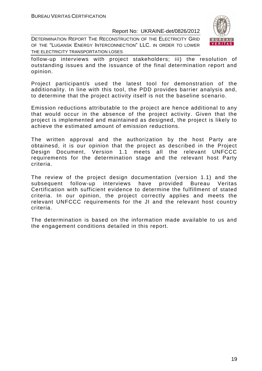DETERMINATION REPORT THE RECONSTRUCTION OF THE ELECTRICITY GRID OF THE "LUGANSK ENERGY INTERCONNECTION" LLC. IN ORDER TO LOWER THE ELECTRICITY TRANSPORTATION LOSES



follow-up interviews with project stakeholders; iii) the resolution of outstanding issues and the issuance of the final determination report and opinion.

Project participant/s used the latest tool for demonstration of the additionality. In line with this tool, the PDD provides barrier analysis and, to determine that the project activity itself is not the baseline scenario.

Emission reductions attributable to the project are hence additional to any that would occur in the absence of the project activity. Given that the project is implemented and maintained as designed, the project is likely to achieve the estimated amount of emission reductions.

The written approval and the authorization by the host Party are obtainesd, it is our opinion that the project as described in the Project Design Document, Version 1.1 meets all the relevant UNFCCC requirements for the determination stage and the relevant host Party criteria.

The review of the project design documentation (version 1.1) and the subsequent follow-up interviews have provided Bureau Veritas Certification with sufficient evidence to determine the fulfillment of stated criteria. In our opinion, the project correctly applies and meets the relevant UNFCCC requirements for the JI and the relevant host country criteria.

The determination is based on the information made available to us and the engagement conditions detailed in this report.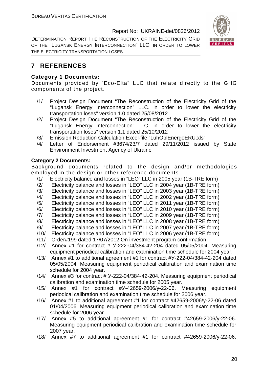DETERMINATION REPORT THE RECONSTRUCTION OF THE ELECTRICITY GRID OF THE "LUGANSK ENERGY INTERCONNECTION" LLC. IN ORDER TO LOWER THE ELECTRICITY TRANSPORTATION LOSES



#### **7 REFERENCES**

#### **Category 1 Documents:**

Documents provided by "Eco-Elta" LLC that relate directly to the GHG components of the project.

- /1/ Project Design Document "The Reconstruction of the Electricity Grid of the "Lugansk Energy Interconnection" LLC. in order to lower the electricity transportation loses" version 1.0 dated 25/08/2012
- /2/ Project Design Document "The Reconstruction of the Electricity Grid of the "Lugansk Energy Interconnection" LLC. in order to lower the electricity transportation loses" version 1.1 dated 25/10/2012
- /3/ Emission Reduction Calculation Excel-file "LuhOblEnergoERU.xls"
- /4/ Letter of Endorsement #3674/23/7 dated 29/11/2012 issued by State Environment Investment Agency of Ukraine

#### **Category 2 Documents:**

Background documents related to the design and/or methodologies employed in the design or other reference documents.

- /1/ Electricity balance and losses in "LEO" LLC in 2005 year (1B-TRE form)
- /2/ Electricity balance and losses in "LEO" LLC in 2004 year (1B-TRE form)
- /3/ Electricity balance and losses in "LEO" LLC in 2003 year (1B-TRE form)
- /4/ Electricity balance and losses in "LEO" LLC in 2002 year (1B-TRE form)
- /5/ Electricity balance and losses in "LEO" LLC in 2011 year (1B-TRE form)
- /6/ Electricity balance and losses in "LEO" LLC in 2010 year (1B-TRE form)
- /7/ Electricity balance and losses in "LEO" LLC in 2009 year (1B-TRE form)
- /8/ Electricity balance and losses in "LEO" LLC in 2008 year (1B-TRE form)
- /9/ Electricity balance and losses in "LEO" LLC in 2007 year (1B-TRE form)
- /10/ Electricity balance and losses in "LEO" LLC in 2006 year (1B-TRE form)
- /11/ Order#199 dated 17/07/2012 On investment program confirmation
- /12/ Annex #1 for contract # У-222-04/384-42-204 dated 05/05/2004. Measuring equipment periodical calibration and examination time schedule for 2004 year.
- /13/ Annex #1 to additional agreement #1 for contract #У-222-04/384-42-204 dated 05/05/2004. Measuring equipment periodical calibration and examination time schedule for 2004 year.
- /14/ Annex #3 for contract # У-222-04/384-42-204. Measuring equipment periodical calibration and examination time schedule for 2005 year.
- /15/ Annex #1 for contract #У-42659-2006/у-22-06. Measuring equipment periodical calibration and examination time schedule for 2006 year.
- /16/ Annex #1 to additional agreement #1 for contract #42659-2006/у-22-06 dated 01/04/2006. Measuring equipment periodical calibration and examination time schedule for 2006 year.
- /17/ Annex #5 to additional agreement #1 for contract #42659-2006/у-22-06. Measuring equipment periodical calibration and examination time schedule for 2007 year.
- /18/ Annex #7 to additional agreement #1 for contract #42659-2006/у-22-06.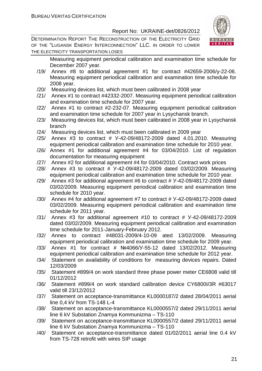DETERMINATION REPORT THE RECONSTRUCTION OF THE ELECTRICITY GRID OF THE "LUGANSK ENERGY INTERCONNECTION" LLC. IN ORDER TO LOWER THE ELECTRICITY TRANSPORTATION LOSES



Measuring equipment periodical calibration and examination time schedule for December 2007 year.

- /19/ Annex #8 to additional agreement #1 for contract #42659-2006/у-22-06. Measuring equipment periodical calibration and examination time schedule for 2008 year.
- /20/ Measuring devices list, which must been calibrated in 2008 year
- /21/ Annex #1 to contract #42332-2007. Measuring equipment periodical calibration and examination time schedule for 2007 year.
- /22/ Annex #1 to contract #2-232-07. Measuring equipment periodical calibration and examination time schedule for 2007 year in Lysychansk branch.
- /23/ Measuring devices list, which must been calibrated in 2008 year in Lysychansk branch
- /24/ Measuring devices list, which must been calibrated in 2009 year
- /25/ Annex #3 to contract # У-42-09/48172-2009 dated 4.01.2010. Measuring equipment periodical calibration and examination time schedule for 2010 year.
- /26/ Annex #1 for additional agreement #4 for 03/04/2010. List of regulation documentation for measuring equipment
- /27/ Annex #2 for additional agreement #4 for 03/04/2010. Contract work prices
- /28/ Annex #3 to contract # У-42-09/48172-2009 dated 03/02/2009. Measuring equipment periodical calibration and examination time schedule for 2010 year.
- /29/ Annex #3 for additional agreement #6 to contract # У-42-09/48172-2009 dated 03/02/2009. Measuring equipment periodical calibration and examination time schedule for 2010 year.
- /30/ Annex #4 for additional agreement #7 to contract # У-42-09/48172-2009 dated 03/02/2009. Measuring equipment periodical calibration and examination time schedule for 2011 year.
- /31/ Annex #3 for additional agreement #10 to contract # У-42-09/48172-2009 dated 03/02/2009. Measuring equipment periodical calibration and examination time schedule for 2011-January-February 2012.
- /32/ Annex to contract #48031-2009/4-10-09 ated 13/02/2009. Measuring equipment periodical calibration and examination time schedule for 2009 year.
- /33/ Annex #1 for contract # №4066/У-55-12 dated 13/02/2012. Measuring equipment periodical calibration and examination time schedule for 2012 year.
- /34/ Statement on availability of conditions for measuring devices repairs. Dated 12/03/2009
- /35/ Statement #899/4 on work standard three phase power meter CE6808 valid till 01/12/2012
- /36/ Statement #899/4 on work standard calibration device CY6800I/3R #63017 valid till 23/12/2012
- /37/ Statement on acceptance-transmittance KL0000187/2 dated 28/04/2011 aerial line 0,4 kV from TS-148 L-4
- /38/ Statement on acceptance-transmittance KL0000557/2 dated 29/11/2011 aerial line 6 kV Substation Znamya Kommunizma – TS-110
- /39/ Statement on acceptance-transmittance KL0000557/2 dated 29/11/2011 aerial line 6 kV Substation Znamya Kommunizma – TS-110
- /40/ Statement on acceptance-transmittance dated 01/02/2011 aerial line 0.4 kV from TS-728 retrofit with wires SIP usage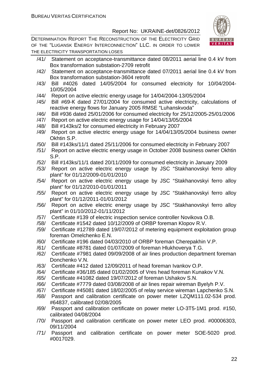

- /41/ Statement on acceptance-transmittance dated 08/2011 aerial line 0.4 kV from Box transformation substation-2709 retrofit
- /42/ Statement on acceptance-transmittance dated 07/2011 aerial line 0.4 kV from Box transformation substation-3604 retrofit
- /43/ Bill #4026 dated 14/05/2004 for consumed electricity for 10/04/2004- 10/05/2004
- /44/ Report on active electric energy usage for 14/04/2004-13/05/2004
- /45/ Bill #69-К dated 27/01/2004 for consumed active electricity, calculations of reactive energy flows for January 2005 RMSE "Luhanskvoda"
- /46/ Bill #936 dated 25/01/2006 for consumed electricity for 25/12/2005-25/01/2006
- /47/ Report on active electric energy usage for 14/04/13/05/2004
- /48/ Bill #143ks/2 for consumed electricity in February 2007
- /49/ Report on active electric energy usage for 14/04/13/05/2004 business owner Okhtin S.P.
- /50/ Bill #143ks/11/1 dated 25/11/2006 for consumed electricity in February 2007
- /51/ Report on active electric energy usage in October 2008 business owner Okhtin S.P.
- /52/ Bill #143ks/11/1 dated 20/11/2009 for consumed electricity in January 2009
- /53/ Report on active electric energy usage by JSC "Stakhanovskyi ferro alloy plant" for 01/12/2009-01/01/2010
- /54/ Report on active electric energy usage by JSC "Stakhanovskyi ferro alloy plant" for 01/12/2010-01/01/2011
- /55/ Report on active electric energy usage by JSC "Stakhanovskyi ferro alloy plant" for 01/12/2011-01/01/2012
- /56/ Report on active electric energy usage by JSC "Stakhanovskyi ferro alloy plant" in 01/10/2012-01/11/2012
- /57/ Certificate #139 of electric inspection service controller Novikova O.B.
- /58/ Certificate #1542 dated 10/12/2009 of ORBP foreman Klopov R.V.
- /59/ Certificate #12789 dated 19/07/2012 of metering equipment exploitation group foreman Omelchenko E.N.
- /60/ Certificate #196 dated 04/03/2010 of ORBP foreman Cherepakhin V.P.
- /61/ Certificate #8781 dated 01/07/2009 of foreman Hlukhoverya T.G.
- /62/ Certificate #7981 dated 09/09/2008 of air lines production department foreman Donchenko V.N.
- /63/ Certificate #412 dated 12/09/2011 of head foreman Ivankov O.P.
- /64/ Certificate #36/185 dated 01/02/2005 of Vres head foreman Kunakov V.N.
- /65/ Certificate #41082 dated 19/07/2012 of foreman Ushakov S.N.
- /66/ Certificate #7779 dated 03/08/2008 of air lines repair wireman Byelyh P.V.
- /67/ Certificate #45081 dated 18/02/2005 of relay service wireman Lapchenko S.N.
- /68/ Passport and calibration certificate on power meter LZQM111.02-534 prod. #64837, calibrated 02/08/2005
- /69/ Passport and calibration certificate on power meter LO-3T5-1M1 prod. #150, calibrated 04/08/2004
- /70/ Passport and calibration certificate on power meter LEO prod. #00006303, 09/11/2004
- /71/ Passport and calibration certificate on power meter SOE-5020 prod. #0017029.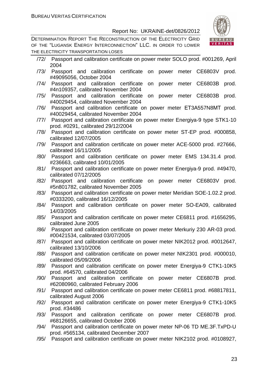DETERMINATION REPORT THE RECONSTRUCTION OF THE ELECTRICITY GRID OF THE "LUGANSK ENERGY INTERCONNECTION" LLC. IN ORDER TO LOWER THE ELECTRICITY TRANSPORTATION LOSES



/72/ Passport and calibration certificate on power meter SOLO prod. #001269, April 2004 /73/ Passport and calibration certificate on power meter CE6803V prod. #49095056, October 2004 /74/ Passport and calibration certificate on power meter CE6803B prod. #4n109357, calibrated November 2004 /75/ Passport and calibration certificate on power meter CE6803B prod. #40029454, calibrated November 2004 /76/ Passport and calibration certificate on power meter ЕТ3А557N8МТ prod. #40029454, calibrated November 2004 /77/ Passport and calibration certificate on power meter Energiya-9 type STK1-10 prod. #0291, calibrated 29/12/2004 /78/ Passport and calibration certificate on power meter ST-EP prod. #000858, calibrated 12/07/2005 /79/ Passport and calibration certificate on power meter ACE-5000 prod. #27666, calibrated 16/11/2005 /80/ Passport and calibration certificate on power meter EMS 134.31.4 prod. #236663, calibrated 10/01/2005 /81/ Passport and calibration certificate on power meter Energiya-9 prod. #49470, calibrated 07/12/2005 /82/ Passport and calibration certificate on power meter CE6803V prod. #5n801782, calibrated November 2005 /83/ Passport and calibration certificate on power meter Meridian SOE-1.02.2 prod. #0333200, calibrated 16/12/2005 /84/ Passport and calibration certificate on power meter SO-EA09, calibrated 14/03/2005 /85/ Passport and calibration certificate on power meter CE6811 prod. #1656295, calibrated June 2005 /86/ Passport and calibration certificate on power meter Merkuriy 230 AR-03 prod. #00421534, calibrated 03/07/2005 /87/ Passport and calibration certificate on power meter NIK2012 prod. #0012647, calibrated 13/10/2006 /88/ Passport and calibration certificate on power meter NIK2301 prod. #000010, calibrated 05/09/2006 /89/ Passport and calibration certificate on power meter Energiya-9 CTK1-10K5 prod. #64570, calibrated 04/2006 /90/ Passport and calibration certificate on power meter CE6807B prod. #62080960, calibrated February 2006 /91/ Passport and calibration certificate on power meter CE6811 prod. #68817811, calibrated August 2006 /92/ Passport and calibration certificate on power meter Energiya-9 CTK1-10K5 prod. #34486 /93/ Passport and calibration certificate on power meter CE6807B prod. #68126655, calibrated October 2006 /94/ Passport and calibration certificate on power meter NP-06 TD ME.3F.TxPD-U prod. #565134, calibrated December 2007 /95/ Passport and calibration certificate on power meter NIK2102 prod. #0108927,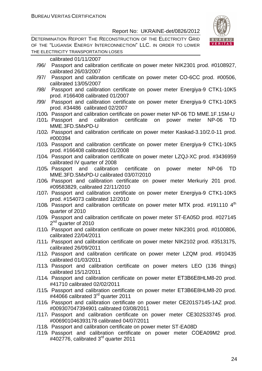DETERMINATION REPORT THE RECONSTRUCTION OF THE ELECTRICITY GRID OF THE "LUGANSK ENERGY INTERCONNECTION" LLC. IN ORDER TO LOWER THE ELECTRICITY TRANSPORTATION LOSES



calibrated 01/11/2007

- /96/ Passport and calibration certificate on power meter NIK2301 prod. #0108927, calibrated 26/03/2007
- /97/ Passport and calibration certificate on power meter СО-6СС prod. #00506, calibrated 13/05/2007
- /98/ Passport and calibration certificate on power meter Energiya-9 CTK1-10K5 prod. #166408 calibrated 01/2007
- /99/ Passport and calibration certificate on power meter Energiya-9 CTK1-10K5 prod. #34486 calibrated 02/2007
- /100/ Passport and calibration certificate on power meter NP-06 TD MME.1F.1SM-U
- /101/ Passport and calibration certificate on power meter NP-06 TD MME.3FD.SMxPD-U
- /102/ Passport and calibration certificate on power meter Kaskad-3.10/2.0-11 prod. #000394
- /103/ Passport and calibration certificate on power meter Energiya-9 CTK1-10K5 prod. #166408 calibrated 01/2008
- /104/ Passport and calibration certificate on power meter LZQJ-XC prod. #3436959 calibrated IV quarter of 2008
- /105/ Passport and calibration certificate on power meter NP-06 TD MME.3FD.SMxPD-U calibrated 03/07/2010
- /106/ Passport and calibration certificate on power meter Merkuriy 201 prod. #09583829, calibrated 22/11/2010
- /107/ Passport and calibration certificate on power meter Energiya-9 CTK1-10K5 prod. #154073 calibrated 12/2010
- /108/ Passport and calibration certificate on power meter MTX prod.  $\#191110$   $4<sup>th</sup>$ quarter of 2010
- /109/ Passport and calibration certificate on power meter ST-EA05D prod. #027145 2<sup>nd</sup> quarter of 2010
- /110/ Passport and calibration certificate on power meter NIK2301 prod. #0100806, calibrated 22/04/2011
- /111/ Passport and calibration certificate on power meter NIK2102 prod. #3513175, calibrated 26/09/2011
- /112/ Passport and calibration certificate on power meter LZQM prod. #910435 calibrated 01/03/2011
- /113/ Passport and calibration certificate on power meters LEO (136 things) calibrated 15/12/2011
- /114/ Passport and calibration certificate on power meter ЕТ3В6Е8HLM8-20 prod. #41710 calibrated 02/02/2011
- /115/ Passport and calibration certificate on power meter ЕТ3В6Е8HLM8-20 prod. #44066 calibrated 3<sup>rd</sup> quarter 2011
- /116/ Passport and calibration certificate on power meter СЕ201S7145-1AZ prod. #009307047394901 calibrated 03/08/2011
- /117/ Passport and calibration certificate on power meter СЕ302S33745 prod. #006901046393178 calibrated 04/07/2011
- /118/ Passport and calibration certificate on power meter ST-EA08D
- /119/ Passport and calibration certificate on power meter СОЕA09M2 prod. #402776, calibrated 3<sup>rd</sup> quarter 2011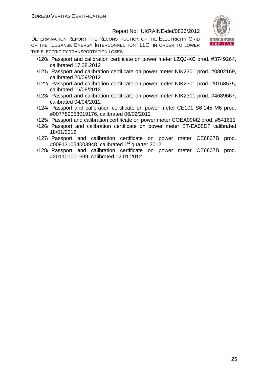

- /120/ Passport and calibration certificate on power meter LZQJ-XC prod. #3749264, calibrated 17.08.2012
- /121/ Passport and calibration certificate on power meter NIK2301 prod. #0802169, calibrated 20/09/2012
- /122/ Passport and calibration certificate on power meter NIK2301 prod. #0168575, calibrated 16/08/2012
- /123/ Passport and calibration certificate on power meter NIK2301 prod. #4689667, calibrated 04/04/2012
- /124/ Passport and calibration certificate on power meter CE101 S6 145 M6 prod. #007789053019176, calibrated 06/02/2012
- /125/ Passport and calibration certificate on power meter COEA09M2 prod. #541611
- /126/ Passport and calibration certificate on power meter ST-EA08D? calibrated 18/01/2012
- /127/ Passport and calibration certificate on power meter CE6807B prod. #009131054003948, calibrated 1<sup>st</sup> quarter 2012
- /128/ Passport and calibration certificate on power meter CE6807B prod. #201101001699, calibrated 12.01.2012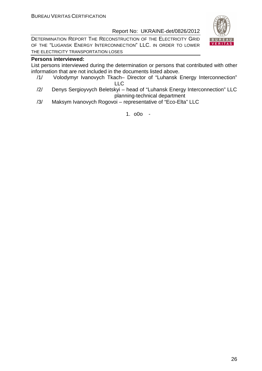DETERMINATION REPORT THE RECONSTRUCTION OF THE ELECTRICITY GRID OF THE "LUGANSK ENERGY INTERCONNECTION" LLC. IN ORDER TO LOWER THE ELECTRICITY TRANSPORTATION LOSES

#### **Persons interviewed:**

List persons interviewed during the determination or persons that contributed with other information that are not included in the documents listed above.

- /1/ Volodymyr Ivanovych Tkach– Director of "Luhansk Energy Interconnection" LLC
- /2/ Denys Sergioyvych Beletskyi head of "Luhansk Energy Interconnection" LLC planning-technical department
- /3/ Maksym Ivanovych Rogovoi representative of "Eco-Elta" LLC

1. o0o -

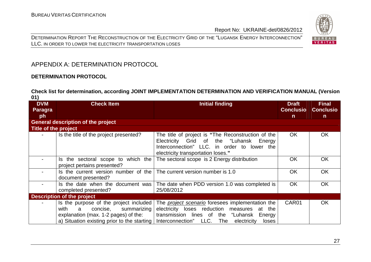DETERMINATION REPORT THE RECONSTRUCTION OF THE ELECTRICITY GRID OF THE "LUGANSK ENERGY INTERCONNECTION" LLC. IN ORDER TO LOWER THE ELECTRICITY TRANSPORTATION LOSES



#### APPENDIX A: DETERMINATION PROTOCOL

#### **DETERMINATION PROTOCOL**

#### **Check list for determination, according JOINT IMPLEMENTATION DETERMINATION AND VERIFICATION MANUAL (Version 01)**

| <b>DVM</b><br>Paragra<br>ph | <b>Check Item</b>                                                                                                                                                     | <b>Initial finding</b>                                                                                                                                                                                      | <b>Draft</b><br><b>Conclusio</b><br>$\mathsf{n}$ | <b>Final</b><br><b>Conclusio</b><br>$\mathsf{n}$ |
|-----------------------------|-----------------------------------------------------------------------------------------------------------------------------------------------------------------------|-------------------------------------------------------------------------------------------------------------------------------------------------------------------------------------------------------------|--------------------------------------------------|--------------------------------------------------|
|                             | <b>General description of the project</b>                                                                                                                             |                                                                                                                                                                                                             |                                                  |                                                  |
| <b>Title of the project</b> |                                                                                                                                                                       |                                                                                                                                                                                                             |                                                  |                                                  |
|                             | Is the title of the project presented?                                                                                                                                | The title of project is "The Reconstruction of the<br>Electricity Grid of the "Luhansk Energy<br>Interconnection" LLC. in order to lower the<br>electricity transportation loses."                          | <b>OK</b>                                        | <b>OK</b>                                        |
|                             | Is the sectoral scope to which the<br>project pertains presented?                                                                                                     | The sectoral scope is 2 Energy distribution                                                                                                                                                                 | <b>OK</b>                                        | <b>OK</b>                                        |
|                             | Is the current version number of the<br>document presented?                                                                                                           | The current version number is 1.0                                                                                                                                                                           | <b>OK</b>                                        | <b>OK</b>                                        |
|                             | Is the date when the document was<br>completed presented?                                                                                                             | The date when PDD version 1.0 was completed is<br>25/08/2012                                                                                                                                                | <b>OK</b>                                        | <b>OK</b>                                        |
|                             | <b>Description of the project</b>                                                                                                                                     |                                                                                                                                                                                                             |                                                  |                                                  |
|                             | Is the purpose of the project included<br>concise,<br>with<br>a<br>summarizing<br>explanation (max. 1-2 pages) of the:<br>a) Situation existing prior to the starting | The <i>project scenario</i> foresees implementation the<br>electricity loses reduction measures at the<br>transmission lines of the "Luhansk Energy<br>Interconnection" LLC.<br>The<br>electricity<br>loses | CAR01                                            | <b>OK</b>                                        |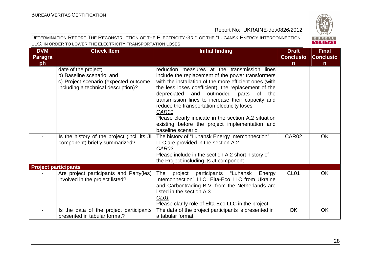

| <b>DVM</b>     | <b>Check Item</b>                                                                                                                  | <b>Initial finding</b>                                                                                                                                                                                                                                                                                                                                                                                                                                                                                                 | <b>Draft</b>     | <b>Final</b>     |
|----------------|------------------------------------------------------------------------------------------------------------------------------------|------------------------------------------------------------------------------------------------------------------------------------------------------------------------------------------------------------------------------------------------------------------------------------------------------------------------------------------------------------------------------------------------------------------------------------------------------------------------------------------------------------------------|------------------|------------------|
| <b>Paragra</b> |                                                                                                                                    |                                                                                                                                                                                                                                                                                                                                                                                                                                                                                                                        | <b>Conclusio</b> | <b>Conclusio</b> |
| ph             |                                                                                                                                    |                                                                                                                                                                                                                                                                                                                                                                                                                                                                                                                        | $\mathsf{n}$     | $\mathsf{n}$     |
|                | date of the project;<br>b) Baseline scenario; and<br>c) Project scenario (expected outcome,<br>including a technical description)? | reduction measures at the transmission lines<br>include the replacement of the power transformers<br>with the installation of the more efficient ones (with<br>the less loses coefficient), the replacement of the<br>outmoded<br>depreciated<br>and<br>parts<br>0f<br>the<br>transmission lines to increase their capacity and<br>reduce the transportation electricity loses<br>CAR01<br>Please clearly indicate in the section A.2 situation<br>existing before the project implementation and<br>baseline scenario |                  |                  |
|                | Is the history of the project (incl. its JI<br>component) briefly summarized?                                                      | The history of "Luhansk Energy Interconnection"<br>LLC are provided in the section A.2<br>CAR02<br>Please include in the section A.2 short history of<br>the Project including its JI component                                                                                                                                                                                                                                                                                                                        | CAR02            | <b>OK</b>        |
|                | <b>Project participants</b>                                                                                                        |                                                                                                                                                                                                                                                                                                                                                                                                                                                                                                                        |                  |                  |
|                | Are project participants and Party(ies)<br>involved in the project listed?                                                         | <b>The</b><br>participants<br>project<br>"Luhansk<br>Energy<br>Interconnection" LLC, Elta-Eco LLC from Ukraine<br>and Carbontrading B.V. from the Netherlands are<br>listed in the section A.3<br>CL <sub>01</sub><br>Please clarify role of Elta-Eco LLC in the project                                                                                                                                                                                                                                               | CL <sub>01</sub> | <b>OK</b>        |
|                | Is the data of the project participants<br>presented in tabular format?                                                            | The data of the project participants is presented in<br>a tabular format                                                                                                                                                                                                                                                                                                                                                                                                                                               | <b>OK</b>        | OK               |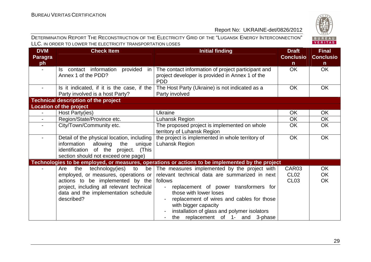

| <b>DVM</b>               | <b>Check Item</b>                                         | <b>Initial finding</b>                                                                                | <b>Draft</b>     | <b>Final</b>     |
|--------------------------|-----------------------------------------------------------|-------------------------------------------------------------------------------------------------------|------------------|------------------|
| <b>Paragra</b>           |                                                           |                                                                                                       | <b>Conclusio</b> | <b>Conclusio</b> |
| ph                       |                                                           |                                                                                                       | $\mathsf{n}$     | $\mathbf n$      |
| $\blacksquare$           | Is contact information provided in<br>Annex 1 of the PDD? | The contact information of project participant and<br>project developer is provided in Annex 1 of the | <b>OK</b>        | <b>OK</b>        |
|                          |                                                           | <b>PDD</b>                                                                                            |                  |                  |
| $\overline{\phantom{0}}$ | Is it indicated, if it is the case, if the                | The Host Party (Ukraine) is not indicated as a                                                        | <b>OK</b>        | OK               |
|                          | Party involved is a host Party?                           | Party involved                                                                                        |                  |                  |
|                          | <b>Technical description of the project</b>               |                                                                                                       |                  |                  |
|                          | <b>Location of the project</b>                            |                                                                                                       |                  |                  |
|                          | Host Party(ies)                                           | Ukraine                                                                                               | <b>OK</b>        | <b>OK</b>        |
| $\overline{a}$           | Region/State/Province etc.                                | Luhansk Region                                                                                        | <b>OK</b>        | OK               |
|                          | City/Town/Community etc.                                  | The proposed project is implemented on whole                                                          | <b>OK</b>        | <b>OK</b>        |
|                          |                                                           | territory of Luhansk Region                                                                           |                  |                  |
|                          | Detail of the physical location, including                | the project is implemented in whole territory of                                                      | <b>OK</b>        | OK               |
|                          | information<br>allowing<br>the<br>unique                  | Luhansk Region                                                                                        |                  |                  |
|                          | identification of the project. (This                      |                                                                                                       |                  |                  |
|                          | section should not exceed one page)                       |                                                                                                       |                  |                  |
|                          |                                                           | Technologies to be employed, or measures, operations or actions to be implemented by the project      |                  |                  |
|                          | technology(ies)<br>to<br>the<br>Are                       | be The measures implemented by the project with                                                       | CAR03            | OK               |
|                          | employed, or measures, operations or                      | relevant technical data are summarized in next                                                        | CL <sub>02</sub> | <b>OK</b>        |
|                          | actions to be implemented by the                          | follows                                                                                               | CL <sub>03</sub> | <b>OK</b>        |
|                          | project, including all relevant technical                 | replacement of power transformers for<br>$\blacksquare$                                               |                  |                  |
|                          | data and the implementation schedule                      | those with lower loses                                                                                |                  |                  |
|                          | described?                                                | replacement of wires and cables for those<br>with bigger capacity                                     |                  |                  |
|                          |                                                           |                                                                                                       |                  |                  |
|                          |                                                           | installation of glass and polymer isolators                                                           |                  |                  |
|                          |                                                           | the replacement of 1- and 3-phase                                                                     |                  |                  |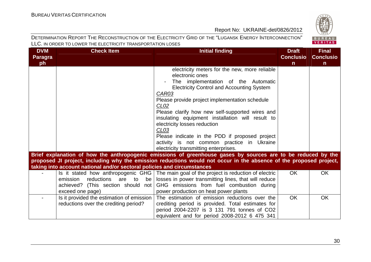

| <b>DVM</b>     | <b>Check Item</b>                                                       | <b>Initial finding</b>                                                                                             | <b>Draft</b>     | <b>Final</b>     |
|----------------|-------------------------------------------------------------------------|--------------------------------------------------------------------------------------------------------------------|------------------|------------------|
| <b>Paragra</b> |                                                                         |                                                                                                                    | <b>Conclusio</b> | <b>Conclusio</b> |
| ph             |                                                                         |                                                                                                                    | $\mathsf{n}$     | $\mathbf n$      |
|                |                                                                         | electricity meters for the new, more reliable                                                                      |                  |                  |
|                |                                                                         | electronic ones                                                                                                    |                  |                  |
|                |                                                                         | The implementation of the Automatic                                                                                |                  |                  |
|                |                                                                         | <b>Electricity Control and Accounting System</b>                                                                   |                  |                  |
|                |                                                                         | CAR03                                                                                                              |                  |                  |
|                |                                                                         | Please provide project implementation schedule                                                                     |                  |                  |
|                |                                                                         | CLO2                                                                                                               |                  |                  |
|                |                                                                         | Please clarify how new self-supported wires and                                                                    |                  |                  |
|                |                                                                         | insulating equipment installation will result to                                                                   |                  |                  |
|                |                                                                         | electricity losses reduction                                                                                       |                  |                  |
|                |                                                                         | CL <sub>03</sub>                                                                                                   |                  |                  |
|                |                                                                         | Please indicate in the PDD if proposed project                                                                     |                  |                  |
|                |                                                                         | activity is not common practice in Ukraine                                                                         |                  |                  |
|                |                                                                         | electricity transmitting enterprises.                                                                              |                  |                  |
|                |                                                                         | Brief explanation of how the anthropogenic emissions of greenhouse gases by sources are to be reduced by the       |                  |                  |
|                |                                                                         | proposed JI project, including why the emission reductions would not occur in the absence of the proposed project, |                  |                  |
|                | taking into account national and/or sectoral policies and circumstances |                                                                                                                    |                  |                  |
|                |                                                                         | Is it stated how anthropogenic GHG The main goal of the project is reduction of electric                           | <b>OK</b>        | <b>OK</b>        |
|                | reductions are to<br>emission<br>be                                     | losses in power transmitting lines, that will reduce                                                               |                  |                  |
|                | achieved? (This section should not                                      | GHG emissions from fuel combustion during                                                                          |                  |                  |
|                | exceed one page)                                                        | power production on heat power plants                                                                              |                  |                  |
|                | Is it provided the estimation of emission                               | The estimation of emission reductions over the                                                                     | <b>OK</b>        | OK               |
|                | reductions over the crediting period?                                   | crediting period is provided. Total estimates for                                                                  |                  |                  |
|                |                                                                         | period 2004-2207 is 3 131 791 tonnes of CO2                                                                        |                  |                  |
|                |                                                                         | equivalent and for period 2008-2012 6 475 341                                                                      |                  |                  |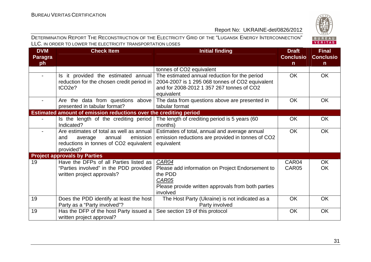

| <b>DVM</b>               | <b>Check Item</b>                                                                                                                         | <b>Initial finding</b>                                                                                                                                      | <b>Draft</b>     | <b>Final</b>     |
|--------------------------|-------------------------------------------------------------------------------------------------------------------------------------------|-------------------------------------------------------------------------------------------------------------------------------------------------------------|------------------|------------------|
| <b>Paragra</b>           |                                                                                                                                           |                                                                                                                                                             | <b>Conclusio</b> | <b>Conclusio</b> |
| ph                       |                                                                                                                                           |                                                                                                                                                             | n                | n                |
|                          |                                                                                                                                           | tonnes of CO2 equivalent                                                                                                                                    |                  |                  |
| $\overline{\phantom{0}}$ | Is it provided the estimated annual<br>reduction for the chosen credit period in<br>tCO <sub>2</sub> e?                                   | The estimated annual reduction for the period<br>2004-2007 is 1 295 068 tonnes of CO2 equivalent<br>and for 2008-2012 1 357 267 tonnes of CO2<br>equivalent | <b>OK</b>        | <b>OK</b>        |
|                          | Are the data from questions above<br>presented in tabular format?                                                                         | The data from questions above are presented in<br>tabular format                                                                                            | OK               | <b>OK</b>        |
|                          | Estimated amount of emission reductions over the crediting period                                                                         |                                                                                                                                                             |                  |                  |
|                          | Is the length of the crediting period<br>Indicated?                                                                                       | The length of crediting period is 5 years (60<br>months)                                                                                                    | <b>OK</b>        | OK               |
| $\blacksquare$           | Are estimates of total as well as annual  <br>emission<br>and<br>annual<br>average<br>reductions in tonnes of CO2 equivalent<br>provided? | Estimates of total, annual and average annual<br>emission reductions are provided in tonnes of CO2<br>equivalent                                            | <b>OK</b>        | <b>OK</b>        |
|                          | <b>Project approvals by Parties</b>                                                                                                       |                                                                                                                                                             |                  |                  |
| 19                       | Have the DFPs of all Parties listed as<br>"Parties involved" in the PDD provided<br>written project approvals?                            | <b>CAR04</b><br>Please add information on Project Endorsement to<br>the PDD<br>CAR05<br>Please provide written approvals from both parties<br>involved      | CAR04<br>CAR05   | <b>OK</b><br>OK. |
| 19                       | Does the PDD identify at least the host<br>Party as a "Party involved"?                                                                   | The Host Party (Ukraine) is not indicated as a<br>Party involved                                                                                            | <b>OK</b>        | OK               |
| 19                       | Has the DFP of the host Party issued a<br>written project approval?                                                                       | See section 19 of this protocol                                                                                                                             | <b>OK</b>        | OK               |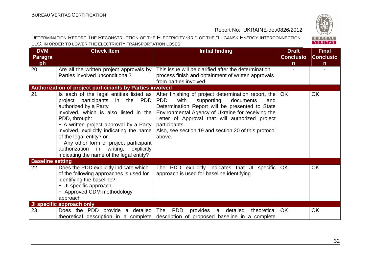

| <b>DVM</b>              | <b>Check Item</b>                                                                                                                                                                                                                                                                                                                                                                                                 | <b>Initial finding</b>                                                                                                                                                                                                                                                                                                                                     | <b>Draft</b>     | <b>Final</b>     |
|-------------------------|-------------------------------------------------------------------------------------------------------------------------------------------------------------------------------------------------------------------------------------------------------------------------------------------------------------------------------------------------------------------------------------------------------------------|------------------------------------------------------------------------------------------------------------------------------------------------------------------------------------------------------------------------------------------------------------------------------------------------------------------------------------------------------------|------------------|------------------|
| <b>Paragra</b>          |                                                                                                                                                                                                                                                                                                                                                                                                                   |                                                                                                                                                                                                                                                                                                                                                            | <b>Conclusio</b> | <b>Conclusio</b> |
| ph                      |                                                                                                                                                                                                                                                                                                                                                                                                                   |                                                                                                                                                                                                                                                                                                                                                            | $\mathsf{n}$     | $\mathsf{n}$     |
| 20                      | Are all the written project approvals by                                                                                                                                                                                                                                                                                                                                                                          | This issue will be clarified after the determination                                                                                                                                                                                                                                                                                                       |                  |                  |
|                         | Parties involved unconditional?                                                                                                                                                                                                                                                                                                                                                                                   | process finish and obtainment of written approvals                                                                                                                                                                                                                                                                                                         |                  |                  |
|                         |                                                                                                                                                                                                                                                                                                                                                                                                                   | from parties involved                                                                                                                                                                                                                                                                                                                                      |                  |                  |
|                         | Authorization of project participants by Parties involved                                                                                                                                                                                                                                                                                                                                                         |                                                                                                                                                                                                                                                                                                                                                            |                  |                  |
| 21                      | Is each of the legal entities listed as<br>project participants in the PDD<br>authorized by a Party<br>involved, which is also listed in the<br>PDD, through:<br>- A written project approval by a Party<br>involved, explicitly indicating the name<br>of the legal entity? or<br>- Any other form of project participant<br>authorization in writing,<br>explicitly<br>indicating the name of the legal entity? | After finishing of project determination report, the<br><b>PDD</b><br>with<br>supporting<br>documents<br>and<br>Determination Report will be presented to State<br>Environmental Agency of Ukraine for receiving the<br>Letter of Approval that will authorized project<br>participants.<br>Also, see section 19 and section 20 of this protocol<br>above. | <b>OK</b>        | <b>OK</b>        |
| <b>Baseline setting</b> |                                                                                                                                                                                                                                                                                                                                                                                                                   |                                                                                                                                                                                                                                                                                                                                                            |                  |                  |
| 22                      | Does the PDD explicitly indicate which<br>of the following approaches is used for<br>identifying the baseline?<br>- JI specific approach<br>- Approved CDM methodology<br>approach                                                                                                                                                                                                                                | The PDD explicitly indicates that JI specific<br>approach is used for baseline identifying                                                                                                                                                                                                                                                                 | <b>OK</b>        | <b>OK</b>        |
|                         | <b>JI specific approach only</b>                                                                                                                                                                                                                                                                                                                                                                                  |                                                                                                                                                                                                                                                                                                                                                            |                  |                  |
| 23                      | Does the PDD provide a detailed                                                                                                                                                                                                                                                                                                                                                                                   | The<br><b>PDD</b><br>provides<br>detailed<br>theoretical<br>$\mathsf{a}$<br>theoretical description in a complete description of proposed baseline in a complete                                                                                                                                                                                           | <b>OK</b>        | OK               |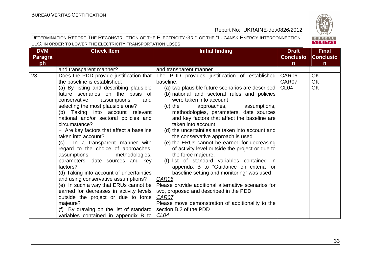

| <b>DVM</b>     | <b>Check Item</b>                         | <b>Initial finding</b>                              | <b>Draft</b>     | <b>Final</b>     |
|----------------|-------------------------------------------|-----------------------------------------------------|------------------|------------------|
| <b>Paragra</b> |                                           |                                                     | <b>Conclusio</b> | <b>Conclusio</b> |
| ph             |                                           |                                                     | $\mathsf{n}$     | n                |
|                | and transparent manner?                   | and transparent manner                              |                  |                  |
| 23             | Does the PDD provide justification that   | The PDD provides justification of established       | CAR06            | <b>OK</b>        |
|                | the baseline is established:              | baseline.                                           | CAR07            | OK               |
|                | (a) By listing and describing plausible   | (a) two plausible future scenarios are described    | CL <sub>04</sub> | OK               |
|                | future scenarios on the basis of          | (b) national and sectoral rules and policies        |                  |                  |
|                | conservative<br>assumptions<br>and        | were taken into account                             |                  |                  |
|                | selecting the most plausible one?         | assumptions,<br>$(c)$ the<br>approaches,            |                  |                  |
|                | (b) Taking into account relevant          | methodologies, parameters, date sources             |                  |                  |
|                | national and/or sectoral policies and     | and key factors that affect the baseline are        |                  |                  |
|                | circumstance?                             | taken into account                                  |                  |                  |
|                | - Are key factors that affect a baseline  | (d) the uncertainties are taken into account and    |                  |                  |
|                | taken into account?                       | the conservative approach is used                   |                  |                  |
|                | (c) In a transparent manner with          | (e) the ERUs cannot be earned for decreasing        |                  |                  |
|                | regard to the choice of approaches,       | of activity level outside the project or due to     |                  |                  |
|                | methodologies,<br>assumptions,            | the force majeure.                                  |                  |                  |
|                | parameters, date sources and key          | (f) list of standard variables contained in         |                  |                  |
|                | factors?                                  | appendix B to "Guidance on criteria for             |                  |                  |
|                | (d) Taking into account of uncertainties  | baseline setting and monitoring" was used           |                  |                  |
|                | and using conservative assumptions?       | <b>CAR06</b>                                        |                  |                  |
|                | (e) In such a way that ERUs cannot be $ $ | Please provide additional alternative scenarios for |                  |                  |
|                | earned for decreases in activity levels   | two, proposed and described in the PDD              |                  |                  |
|                | outside the project or due to force       | <b>CAR07</b>                                        |                  |                  |
|                | majeure?                                  | Please move demonstration of additionality to the   |                  |                  |
|                | (f) By drawing on the list of standard    | section B.2 of the PDD                              |                  |                  |
|                | variables contained in appendix B to      | CL04                                                |                  |                  |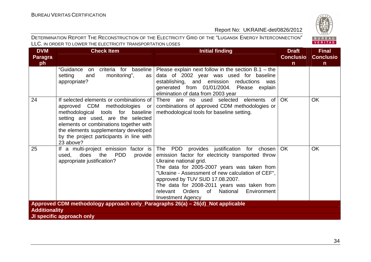

| <b>DVM</b>           | <b>Check Item</b>                                                                      | <b>Initial finding</b>                                                                         | <b>Draft</b>     | <b>Final</b>     |
|----------------------|----------------------------------------------------------------------------------------|------------------------------------------------------------------------------------------------|------------------|------------------|
| <b>Paragra</b>       |                                                                                        |                                                                                                | <b>Conclusio</b> | <b>Conclusio</b> |
| ph                   |                                                                                        |                                                                                                | $\mathsf{n}$     | n                |
|                      | "Guidance on<br>criteria for baseline                                                  | Please explain next follow in the section $B.1 -$ the                                          |                  |                  |
|                      | monitoring",<br>setting<br>and<br>as                                                   | data of 2002 year was used for baseline<br>establishing, and emission reductions was           |                  |                  |
|                      | appropriate?                                                                           | generated from 01/01/2004. Please explain                                                      |                  |                  |
|                      |                                                                                        | elimination of data from 2003 year                                                             |                  |                  |
| 24                   | If selected elements or combinations of<br>approved CDM methodologies or               | There are no used selected elements<br>of<br>combinations of approved CDM methodologies or     | OK               | <b>OK</b>        |
|                      | methodological tools for baseline<br>setting are used, are the selected                | methodological tools for baseline setting.                                                     |                  |                  |
|                      | elements or combinations together with                                                 |                                                                                                |                  |                  |
|                      | the elements supplementary developed                                                   |                                                                                                |                  |                  |
|                      | by the project participants in line with<br>23 above?                                  |                                                                                                |                  |                  |
| 25                   | If a multi-project emission factor is<br><b>PDD</b><br>the<br>does<br>used,<br>provide | The PDD provides justification for chosen<br>emission factor for electricity transported throw | <b>OK</b>        | <b>OK</b>        |
|                      | appropriate justification?                                                             | Ukraine national grid.                                                                         |                  |                  |
|                      |                                                                                        | The data for 2005-2007 years was taken from                                                    |                  |                  |
|                      |                                                                                        | "Ukraine - Assessment of new calculation of CEF",                                              |                  |                  |
|                      |                                                                                        | approved by TUV SUD 17.08.2007.                                                                |                  |                  |
|                      |                                                                                        | The data for 2008-2011 years was taken from                                                    |                  |                  |
|                      |                                                                                        | relevant Orders<br>of<br>National<br>Environment<br><b>Investment Agency</b>                   |                  |                  |
|                      | Approved CDM methodology approach only_Paragraphs 26(a) – 26(d)_Not applicable         |                                                                                                |                  |                  |
| <b>Additionality</b> |                                                                                        |                                                                                                |                  |                  |
|                      | JI specific approach only                                                              |                                                                                                |                  |                  |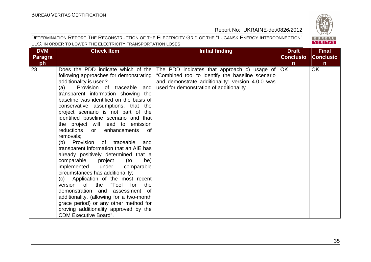### BUREAU<br>VERITAS

| <b>DVM</b>     | <b>Check Item</b>                                                                                                                                                                                                                                                                                                                                                                                                                                                                                                                                                                                                                                                                                                                                                                                                                                                                                                                                                                        | <b>Initial finding</b>                                                                                                                                                                                 | <b>Draft</b>     | <b>Final</b>     |
|----------------|------------------------------------------------------------------------------------------------------------------------------------------------------------------------------------------------------------------------------------------------------------------------------------------------------------------------------------------------------------------------------------------------------------------------------------------------------------------------------------------------------------------------------------------------------------------------------------------------------------------------------------------------------------------------------------------------------------------------------------------------------------------------------------------------------------------------------------------------------------------------------------------------------------------------------------------------------------------------------------------|--------------------------------------------------------------------------------------------------------------------------------------------------------------------------------------------------------|------------------|------------------|
| <b>Paragra</b> |                                                                                                                                                                                                                                                                                                                                                                                                                                                                                                                                                                                                                                                                                                                                                                                                                                                                                                                                                                                          |                                                                                                                                                                                                        | <b>Conclusio</b> | <b>Conclusio</b> |
| ph             |                                                                                                                                                                                                                                                                                                                                                                                                                                                                                                                                                                                                                                                                                                                                                                                                                                                                                                                                                                                          |                                                                                                                                                                                                        | $\mathsf{n}$     | $\mathsf{n}$     |
| 28             | Does the PDD indicate which of the<br>following approaches for demonstrating<br>additionality is used?<br>Provision of traceable and<br>(a)<br>transparent information showing the<br>baseline was identified on the basis of<br>conservative assumptions, that the<br>project scenario is not part of the<br>identified baseline scenario and that<br>the project will lead to emission<br>reductions<br>enhancements<br>0f<br>or<br>removals;<br>(b) Provision<br>of traceable<br>and<br>transparent information that an AIE has<br>already positively determined that a<br>comparable<br>project<br>(to<br>be)<br>implemented<br>under<br>comparable<br>circumstances has additionality;<br>(c) Application of the most recent<br>0f<br>the<br>"Tool<br>for<br>version<br>the<br>demonstration and<br>assessment<br>of.<br>additionality. (allowing for a two-month<br>grace period) or any other method for<br>proving additionality approved by the<br><b>CDM Executive Board".</b> | The PDD indicates that approach c) usage of $\vert$<br>"Combined tool to identify the baseline scenario<br>and demonstrate additionality" version 4.0.0 was<br>used for demonstration of additionality | OK               | <b>OK</b>        |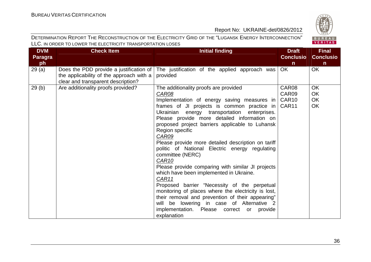

| <b>DVM</b>     | <b>Check Item</b>                        | <b>Initial finding</b>                              | <b>Draft</b>      | <b>Final</b>     |
|----------------|------------------------------------------|-----------------------------------------------------|-------------------|------------------|
| <b>Paragra</b> |                                          |                                                     | <b>Conclusio</b>  | <b>Conclusio</b> |
| ph             |                                          |                                                     | $\mathsf{n}$      | $\mathsf{n}$     |
| 29(a)          | Does the PDD provide a justification of  | The justification of the applied approach was       | OK                | OK               |
|                | the applicability of the approach with a | provided                                            |                   |                  |
|                | clear and transparent description?       |                                                     |                   |                  |
| 29(b)          | Are additionality proofs provided?       | The additionality proofs are provided               | CAR08             | <b>OK</b>        |
|                |                                          | CAR08                                               | CAR09             | OK               |
|                |                                          | Implementation of energy saving measures in         | CAR <sub>10</sub> | OK               |
|                |                                          | frames of JI projects is common practice in         | CAR11             | OK               |
|                |                                          | Ukrainian energy transportation enterprises.        |                   |                  |
|                |                                          | Please provide more detailed information on         |                   |                  |
|                |                                          | proposed project barriers applicable to Luhansk     |                   |                  |
|                |                                          | Region specific                                     |                   |                  |
|                |                                          | CAR09                                               |                   |                  |
|                |                                          | Please provide more detailed description on tariff  |                   |                  |
|                |                                          | politic of National Electric energy regulating      |                   |                  |
|                |                                          | committee (NERC)                                    |                   |                  |
|                |                                          | CAR <sub>10</sub>                                   |                   |                  |
|                |                                          | Please provide comparing with similar JI projects   |                   |                  |
|                |                                          | which have been implemented in Ukraine.             |                   |                  |
|                |                                          | CAR11                                               |                   |                  |
|                |                                          | Proposed barrier "Necessity of the perpetual        |                   |                  |
|                |                                          | monitoring of places where the electricity is lost, |                   |                  |
|                |                                          | their removal and prevention of their appearing"    |                   |                  |
|                |                                          | will be lowering in case of Alternative 2           |                   |                  |
|                |                                          | implementation. Please correct or provide           |                   |                  |
|                |                                          | explanation                                         |                   |                  |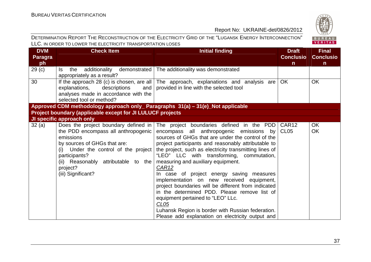# BUREAU<br>VERITAS

| <b>DVM</b>           | <b>Check Item</b>                                                                                                                                                                                                                                          | <b>Initial finding</b>                                                                                                                                                                                                                                                                                                                                                                                                                                                                                                                                                                                                                                                                                                            | <b>Draft</b>                          | <b>Final</b>                     |
|----------------------|------------------------------------------------------------------------------------------------------------------------------------------------------------------------------------------------------------------------------------------------------------|-----------------------------------------------------------------------------------------------------------------------------------------------------------------------------------------------------------------------------------------------------------------------------------------------------------------------------------------------------------------------------------------------------------------------------------------------------------------------------------------------------------------------------------------------------------------------------------------------------------------------------------------------------------------------------------------------------------------------------------|---------------------------------------|----------------------------------|
| <b>Paragra</b><br>ph |                                                                                                                                                                                                                                                            |                                                                                                                                                                                                                                                                                                                                                                                                                                                                                                                                                                                                                                                                                                                                   | <b>Conclusio</b><br>$\mathsf{n}$      | <b>Conclusio</b><br>$\mathsf{n}$ |
| 29 <sub>(c)</sub>    | additionality<br>Is the<br>appropriately as a result?                                                                                                                                                                                                      | demonstrated   The additionality was demonstrated                                                                                                                                                                                                                                                                                                                                                                                                                                                                                                                                                                                                                                                                                 |                                       |                                  |
| 30                   | and<br>explanations,<br>descriptions<br>analyses made in accordance with the<br>selected tool or method?                                                                                                                                                   | If the approach 28 (c) is chosen, are all $\vert$ The approach, explanations and analysis are<br>provided in line with the selected tool                                                                                                                                                                                                                                                                                                                                                                                                                                                                                                                                                                                          | <b>OK</b>                             | <b>OK</b>                        |
|                      | Approved CDM methodology approach only_ Paragraphs 31(a) - 31(e)_Not applicable                                                                                                                                                                            |                                                                                                                                                                                                                                                                                                                                                                                                                                                                                                                                                                                                                                                                                                                                   |                                       |                                  |
|                      | Project boundary (applicable except for JI LULUCF projects                                                                                                                                                                                                 |                                                                                                                                                                                                                                                                                                                                                                                                                                                                                                                                                                                                                                                                                                                                   |                                       |                                  |
|                      | JI specific approach only                                                                                                                                                                                                                                  |                                                                                                                                                                                                                                                                                                                                                                                                                                                                                                                                                                                                                                                                                                                                   |                                       |                                  |
| 32(a)                | Does the project boundary defined in<br>the PDD encompass all anthropogenic<br>emissions<br>by sources of GHGs that are:<br>(i) Under the control of the project<br>participants?<br>(ii) Reasonably attributable to the<br>project?<br>(iii) Significant? | The project boundaries defined in the PDD<br>encompass all anthropogenic emissions by<br>sources of GHGs that are under the control of the<br>project participants and reasonably attributable to<br>the project, such as electricity transmitting lines of<br>"LEO" LLC with transforming, commutation,<br>measuring and auxiliary equipment.<br><b>CAR12</b><br>In case of project energy saving measures<br>implementation on new received equipment,<br>project boundaries will be different from indicated<br>in the determined PDD. Please remove list of<br>equipment pertained to "LEO" LLc.<br>CL <sub>05</sub><br>Luhansk Region is border with Russian federation.<br>Please add explanation on electricity output and | CAR <sub>12</sub><br>CL <sub>05</sub> | <b>OK</b><br>OK                  |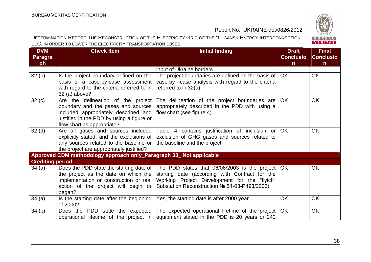BUREAU<br>VERITAS

#### Report No: UKRAINE-det/0826/2012

| <b>DVM</b>              | <b>Check Item</b>                                                                                                                                                                             | <b>Initial finding</b>                                                                                                                                                                                                                         | <b>Draft</b>     | <b>Final</b>     |
|-------------------------|-----------------------------------------------------------------------------------------------------------------------------------------------------------------------------------------------|------------------------------------------------------------------------------------------------------------------------------------------------------------------------------------------------------------------------------------------------|------------------|------------------|
| <b>Paragra</b>          |                                                                                                                                                                                               |                                                                                                                                                                                                                                                | <b>Conclusio</b> | <b>Conclusio</b> |
| ph                      |                                                                                                                                                                                               |                                                                                                                                                                                                                                                | $\mathsf{n}$     | $\mathsf{n}$     |
|                         |                                                                                                                                                                                               | input of Ukraine borders                                                                                                                                                                                                                       |                  |                  |
| 32(b)                   | Is the project boundary defined on the<br>basis of a case-by-case assessment<br>with regard to the criteria referred to in $ $<br>$32$ (a) above?                                             | The project boundaries are defined on the basis of $\vert$ OK<br>case-by -case analysis with regard to the criteria<br>referred to in 32(a)                                                                                                    |                  | <b>OK</b>        |
| 32(c)                   | Are the delineation of the project<br>boundary and the gases and sources  <br>included appropriately described and<br>justified in the PDD by using a figure or<br>flow chart as appropriate? | The delineation of the project boundaries are<br>appropriately described in the PDD with using a<br>flow chart (see figure 4).                                                                                                                 | <b>OK</b>        | <b>OK</b>        |
| 32 <sub>(d)</sub>       | explicitly stated, and the exclusions of<br>any sources related to the baseline or<br>the project are appropriately justified?                                                                | Are all gases and sources included Table 4 contains justification of inclusion or<br>exclusion of GHG gases and sources related to<br>the baseline and the project                                                                             | <b>OK</b>        | <b>OK</b>        |
|                         | Approved CDM methodology approach only_Paragraph 33_Not applicable                                                                                                                            |                                                                                                                                                                                                                                                |                  |                  |
| <b>Crediting period</b> |                                                                                                                                                                                               |                                                                                                                                                                                                                                                |                  |                  |
| 34 (a)                  | the project as the date on which the<br>implementation or construction or real<br>action of the project will begin or<br>began?                                                               | Does the PDD state the starting date of   The PDD states that 06/06/2003 is the project   OK<br>starting date (according with Contract for the<br>Working Project Development for the "Ilyich"<br>Substation Reconstruction № 54-03-P493/2003) |                  | <b>OK</b>        |
| 34(a)                   | Is the starting date after the beginning<br>of 2000?                                                                                                                                          | Yes, the starting date is after 2000 year                                                                                                                                                                                                      | <b>OK</b>        | <b>OK</b>        |
| 34(b)                   |                                                                                                                                                                                               | Does the PDD state the expected The expected operational lifetime of the project<br>operational lifetime of the project in equipment stated in the PDD is 20 years or 240                                                                      | <b>OK</b>        | OK               |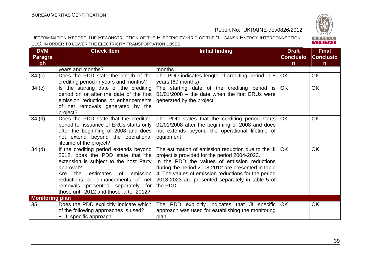

| <b>DVM</b><br><b>Paragra</b><br>ph | <b>Check Item</b>                                                                                                                                                                                                                                                                                | <b>Initial finding</b>                                                                                                                                                                                                                                                                                                           | <b>Draft</b><br><b>Conclusio</b><br>$\mathsf{n}$ | <b>Final</b><br><b>Conclusio</b><br>$\mathbf n$ |
|------------------------------------|--------------------------------------------------------------------------------------------------------------------------------------------------------------------------------------------------------------------------------------------------------------------------------------------------|----------------------------------------------------------------------------------------------------------------------------------------------------------------------------------------------------------------------------------------------------------------------------------------------------------------------------------|--------------------------------------------------|-------------------------------------------------|
|                                    | years and months?                                                                                                                                                                                                                                                                                | months                                                                                                                                                                                                                                                                                                                           |                                                  |                                                 |
| 34(c)                              | Does the PDD state the length of the<br>crediting period in years and months?                                                                                                                                                                                                                    | The PDD indicates length of crediting period in 5<br>years (60 months)                                                                                                                                                                                                                                                           | OK.                                              | <b>OK</b>                                       |
| 34(c)                              | Is the starting date of the crediting<br>period on or after the date of the first<br>emission reductions or enhancements<br>of net removals generated by the<br>project?                                                                                                                         | The starting date of the crediting period is<br>$01/01/2008$ – the date when the first ERUs were<br>generated by the project.                                                                                                                                                                                                    | OK                                               | <b>OK</b>                                       |
| 34 <sub>(d)</sub>                  | Does the PDD state that the crediting<br>period for issuance of ERUs starts only<br>after the beginning of 2008 and does<br>not extend beyond the operational<br>lifetime of the project?                                                                                                        | The PDD states that the crediting period starts<br>01/01/2008 after the beginning of 2008 and does<br>not extends beyond the operational lifetime of<br>equipment                                                                                                                                                                | OK.                                              | <b>OK</b>                                       |
| 34 <sub>(d)</sub>                  | If the crediting period extends beyond<br>2012, does the PDD state that the<br>extension is subject to the host Party<br>approval?<br>emission<br>Are the<br>estimates<br>of<br>reductions or enhancements of net<br>removals presented separately for<br>those until 2012 and those after 2012? | The estimation of emission reduction due to the JI<br>project is provided for the period 2004-2023.<br>In the PDD the values of emission reductions<br>during the period 2008-2012 are presented in table<br>4. The values of emission reductions for the period<br>2013-2023 are presented separately in table 5 of<br>the PDD. | OK.                                              | <b>OK</b>                                       |
| <b>Monitoring plan</b>             |                                                                                                                                                                                                                                                                                                  |                                                                                                                                                                                                                                                                                                                                  |                                                  |                                                 |
| 35                                 | Does the PDD explicitly indicate which<br>of the following approaches is used?<br>- JI specific approach                                                                                                                                                                                         | The PDD explicitly indicates that JI specific<br>approach was used for establishing the monitoring<br>plan                                                                                                                                                                                                                       | OK.                                              | OK                                              |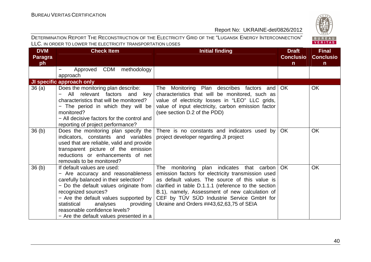

| <b>DVM</b>           | <b>Check Item</b>                                                                                                                                                                                                                                                                                                                        | <b>Initial finding</b>                                                                                                                                                                                                                                                                                                                                     | <b>Draft</b>                     | <b>Final</b>                    |
|----------------------|------------------------------------------------------------------------------------------------------------------------------------------------------------------------------------------------------------------------------------------------------------------------------------------------------------------------------------------|------------------------------------------------------------------------------------------------------------------------------------------------------------------------------------------------------------------------------------------------------------------------------------------------------------------------------------------------------------|----------------------------------|---------------------------------|
| <b>Paragra</b><br>ph |                                                                                                                                                                                                                                                                                                                                          |                                                                                                                                                                                                                                                                                                                                                            | <b>Conclusio</b><br>$\mathsf{n}$ | <b>Conclusio</b><br>$\mathbf n$ |
|                      | CDM<br>methodology<br>Approved<br>approach                                                                                                                                                                                                                                                                                               |                                                                                                                                                                                                                                                                                                                                                            |                                  |                                 |
|                      | JI specific approach only                                                                                                                                                                                                                                                                                                                |                                                                                                                                                                                                                                                                                                                                                            |                                  |                                 |
| 36(a)                | Does the monitoring plan describe:<br>relevant factors and<br>All<br>key<br>characteristics that will be monitored?<br>- The period in which they will be<br>monitored?<br>- All decisive factors for the control and<br>reporting of project performance?                                                                               | The Monitoring Plan describes factors and<br>characteristics that will be monitored, such as<br>value of electricity losses in "LEO" LLC grids,<br>value of input electricity, carbon emission factor<br>(see section D.2 of the PDD)                                                                                                                      | OK.                              | <b>OK</b>                       |
| 36 <sub>(b)</sub>    | Does the monitoring plan specify the<br>indicators, constants and variables<br>used that are reliable, valid and provide<br>transparent picture of the emission<br>reductions or enhancements of net<br>removals to be monitored?                                                                                                        | There is no constants and indicators used by<br>project developer regarding JI project                                                                                                                                                                                                                                                                     | <b>OK</b>                        | <b>OK</b>                       |
| 36 <sub>(b)</sub>    | If default values are used:<br>- Are accuracy and reasonableness<br>carefully balanced in their selection?<br>- Do the default values originate from<br>recognized sources?<br>- Are the default values supported by<br>statistical<br>analyses<br>providing<br>reasonable confidence levels?<br>- Are the default values presented in a | The<br>monitoring plan indicates<br>that carbon<br>emission factors for electricity transmission used<br>as default values. The source of this value is<br>clarified in table D.1.1.1 (reference to the section<br>B.1), namely, Assessment of new calculation of<br>CEF by TÜV SÜD Industrie Service GmbH for<br>Ukraine and Orders ##43,62,63,75 of SEIA | <b>OK</b>                        | <b>OK</b>                       |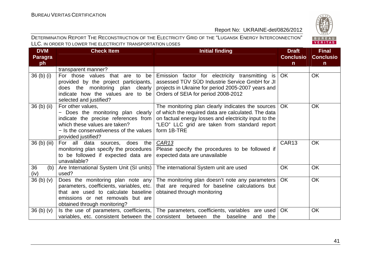BUREAU<br>VERITAS

#### Report No: UKRAINE-det/0826/2012

| <b>DVM</b>                       | <b>Check Item</b>                                                                                                                                                                                  | <b>Initial finding</b>                                                                                                                                                                                                            | <b>Draft</b>      | <b>Final</b>     |
|----------------------------------|----------------------------------------------------------------------------------------------------------------------------------------------------------------------------------------------------|-----------------------------------------------------------------------------------------------------------------------------------------------------------------------------------------------------------------------------------|-------------------|------------------|
| Paragra                          |                                                                                                                                                                                                    |                                                                                                                                                                                                                                   | <b>Conclusio</b>  | <b>Conclusio</b> |
| ph                               |                                                                                                                                                                                                    |                                                                                                                                                                                                                                   | $\mathsf{n}$      | $\mathsf{n}$     |
|                                  | transparent manner?                                                                                                                                                                                |                                                                                                                                                                                                                                   |                   |                  |
| 36 <sub>(b)</sub> <sub>(i)</sub> | For those values that are to<br>be<br>provided by the project participants,<br>does the monitoring plan clearly<br>indicate how the values are to be<br>selected and justified?                    | Emission factor for electricity transmitting is<br>assessed TÜV SÜD Industrie Service GmbH for JI<br>projects in Ukraine for period 2005-2007 years and<br>Orders of SEIA for period 2008-2012                                    | OK                | <b>OK</b>        |
| 36 (b) (ii)                      | For other values,<br>- Does the monitoring plan clearly<br>indicate the precise references from<br>which these values are taken?<br>- Is the conservativeness of the values<br>provided justified? | The monitoring plan clearly indicates the sources<br>of which the required data are calculated. The data<br>on factual energy losses and electricity input to the<br>"LEO" LLC grid are taken from standard report<br>form 1B-TRE | OK.               | <b>OK</b>        |
| 36 (b) (iii)                     | For all data<br>does the<br>sources,<br>monitoring plan specify the procedures<br>to be followed if expected data are<br>unavailable?                                                              | CAR <sub>13</sub><br>Please specify the procedures to be followed if<br>expected data are unavailable                                                                                                                             | CAR <sub>13</sub> | <b>OK</b>        |
| 36<br>(b)<br>(iv)                | Are International System Unit (SI units)<br>used?                                                                                                                                                  | The international System unit are used                                                                                                                                                                                            | <b>OK</b>         | <b>OK</b>        |
| 36(b)(v)                         | Does the monitoring plan note any<br>parameters, coefficients, variables, etc.<br>that are used to calculate baseline<br>emissions or net removals but are<br>obtained through monitoring?         | The monitoring plan doesn't note any parameters<br>that are required for baseline calculations but<br>obtained through monitoring                                                                                                 | OK                | OK               |
| 36 <sub>(b)</sub> <sub>(v)</sub> | variables, etc. consistent between the                                                                                                                                                             | Is the use of parameters, coefficients, The parameters, coefficients, variables are used<br>consistent<br>between the baseline<br>the<br>and                                                                                      | <b>OK</b>         | <b>OK</b>        |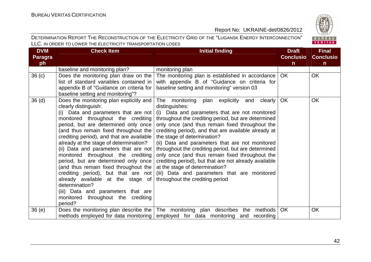

| <b>DVM</b>        | <b>Check Item</b>                                                               | <b>Initial finding</b>                                                                                | <b>Draft</b>     | <b>Final</b>     |
|-------------------|---------------------------------------------------------------------------------|-------------------------------------------------------------------------------------------------------|------------------|------------------|
| <b>Paragra</b>    |                                                                                 |                                                                                                       | <b>Conclusio</b> | <b>Conclusio</b> |
| ph                |                                                                                 |                                                                                                       | n                | $\mathsf{n}$     |
|                   | baseline and monitoring plan?                                                   | monitoring plan                                                                                       |                  |                  |
| 36 <sub>(c)</sub> | Does the monitoring plan draw on the<br>list of standard variables contained in | The monitoring plan is established in accordance<br>with appendix B of "Guidance on criteria for      | OK.              | <b>OK</b>        |
|                   | appendix B of "Guidance on criteria for                                         | baseline setting and monitoring" version 03                                                           |                  |                  |
|                   | baseline setting and monitoring"?                                               |                                                                                                       |                  |                  |
| 36 <sub>(d)</sub> | Does the monitoring plan explicitly and<br>clearly distinguish:                 | The monitoring<br>plan explicitly<br>and<br>clearly  <br>distinguishes:                               | OK               | <b>OK</b>        |
|                   | (i) Data and parameters that are not<br>monitored throughout the crediting      | (i) Data and parameters that are not monitored<br>throughout the crediting period, but are determined |                  |                  |
|                   | period, but are determined only once                                            | only once (and thus remain fixed throughout the                                                       |                  |                  |
|                   | (and thus remain fixed throughout the                                           | crediting period), and that are available already at                                                  |                  |                  |
|                   | crediting period), and that are available                                       | the stage of determination?                                                                           |                  |                  |
|                   | already at the stage of determination?                                          | (ii) Data and parameters that are not monitored                                                       |                  |                  |
|                   | (ii) Data and parameters that are not                                           | throughout the crediting period, but are determined                                                   |                  |                  |
|                   | monitored throughout the crediting                                              | only once (and thus remain fixed throughout the                                                       |                  |                  |
|                   | period, but are determined only once<br>(and thus remain fixed throughout the   | crediting period), but that are not already available<br>at the stage of determination?               |                  |                  |
|                   | crediting period), but that are not                                             | (iii) Data and parameters that are monitored                                                          |                  |                  |
|                   | already available at the stage of                                               | throughout the crediting period                                                                       |                  |                  |
|                   | determination?                                                                  |                                                                                                       |                  |                  |
|                   | (iii) Data and parameters that are                                              |                                                                                                       |                  |                  |
|                   | monitored throughout the crediting<br>period?                                   |                                                                                                       |                  |                  |
| 36(e)             | Does the monitoring plan describe the                                           | The monitoring plan describes the methods                                                             | OK               | OK               |
|                   | methods employed for data monitoring                                            | employed for data monitoring and recording                                                            |                  |                  |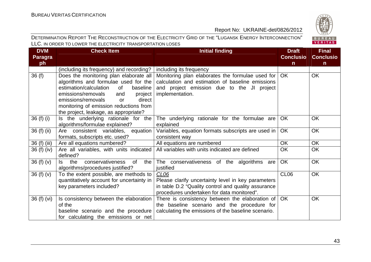

| <b>DVM</b>     | Check Item                                                                                                                                                            | Initial finding                                                                                                                                                                                                | <b>Draft</b>     | <b>Final</b>     |
|----------------|-----------------------------------------------------------------------------------------------------------------------------------------------------------------------|----------------------------------------------------------------------------------------------------------------------------------------------------------------------------------------------------------------|------------------|------------------|
| <b>Paragra</b> |                                                                                                                                                                       |                                                                                                                                                                                                                | <b>Conclusio</b> | <b>Conclusio</b> |
| ph             |                                                                                                                                                                       |                                                                                                                                                                                                                | $\mathsf{n}$     | $\mathsf{n}$     |
|                | (including its frequency) and recording? $ $ including its frequency                                                                                                  |                                                                                                                                                                                                                |                  |                  |
| 36(f)          | algorithms and formulae used for the<br>estimation/calculation<br>of<br>baseline<br>emissions/removals<br>project<br>and<br>emissions/removals<br>direct<br><b>or</b> | Does the monitoring plan elaborate all   Monitoring plan elaborates the formulae used for<br>calculation and estimation of baseline emissions<br>and project emission due to the JI project<br>implementation. | OK.              | OK               |
|                | monitoring of emission reductions from<br>the project, leakage, as appropriate?                                                                                       |                                                                                                                                                                                                                |                  |                  |
| $36(f)$ (i)    | Is the underlying rationale for the<br>algorithms/formulae explained?                                                                                                 | The underlying rationale for the formulae are<br>explained                                                                                                                                                     | <b>OK</b>        | <b>OK</b>        |
| 36 (f) (ii)    | Are consistent variables, equation<br>formats, subscripts etc. used?                                                                                                  | Variables, equation formats subscripts are used in<br>consistent way                                                                                                                                           | OK               | OK               |
| 36 (f) (iii)   | Are all equations numbered?                                                                                                                                           | All equations are numbered                                                                                                                                                                                     | <b>OK</b>        | OK               |
| 36(f)(iv)      | Are all variables, with units indicated  <br>defined?                                                                                                                 | All variables with units indicated are defined                                                                                                                                                                 | <b>OK</b>        | <b>OK</b>        |
| 36 $(f)(v)$    | conservativeness<br>the<br>0f<br>the I<br>ls.<br>algorithms/procedures justified?                                                                                     | The conservativeness of the algorithms are<br>justified                                                                                                                                                        | OK               | OK               |
| 36 $(f)(v)$    | To the extent possible, are methods to<br>quantitatively account for uncertainty in<br>key parameters included?                                                       | CL <sub>06</sub><br>Please clarify uncertainty level in key parameters<br>in table D.2 "Quality control and quality assurance<br>procedures undertaken for data monitored".                                    | CL <sub>06</sub> | OK               |
| 36(f)(vi)      | Is consistency between the elaboration  <br>of the<br>baseline scenario and the procedure<br>for calculating the emissions or net                                     | There is consistency between the elaboration of<br>the baseline scenario and the procedure for<br>calculating the emissions of the baseline scenario.                                                          | OK               | OK               |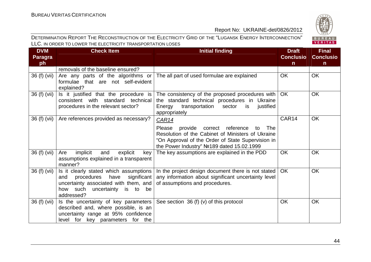

| <b>DVM</b>     | <b>Check Item</b>                                                                                                                                                          | <b>Initial finding</b>                                                                                                                                                                                                    | <b>Draft</b>     | <b>Final</b>     |
|----------------|----------------------------------------------------------------------------------------------------------------------------------------------------------------------------|---------------------------------------------------------------------------------------------------------------------------------------------------------------------------------------------------------------------------|------------------|------------------|
| <b>Paragra</b> |                                                                                                                                                                            |                                                                                                                                                                                                                           | <b>Conclusio</b> | <b>Conclusio</b> |
| ph             | removals of the baseline ensured?                                                                                                                                          |                                                                                                                                                                                                                           | $\mathsf{n}$     | $\mathbf n$      |
| 36 (f) (vii)   | Are any parts of the algorithms or<br>formulae that are not self-evident<br>explained?                                                                                     | The all part of used formulae are explained                                                                                                                                                                               | <b>OK</b>        | OK               |
| 36 (f) (vii)   | Is it justified that the procedure is<br>consistent with standard technical<br>procedures in the relevant sector?                                                          | The consistency of the proposed procedures with<br>the standard technical procedures in Ukraine<br>transportation<br>justified<br>Energy<br>sector<br>is<br>appropriately                                                 | OK.              | <b>OK</b>        |
| 36 (f) (vii)   | Are references provided as necessary?                                                                                                                                      | <b>CAR14</b><br>Please<br>provide correct reference<br>The<br>to<br>Resolution of the Cabinet of Ministers of Ukraine<br>"On Approval of the Order of State Supervision in<br>the Power Industry" No 189 dated 15.02.1999 | CAR14            | <b>OK</b>        |
| 36 (f) (vii)   | implicit<br>and<br>Are<br>explicit<br>key<br>assumptions explained in a transparent<br>manner?                                                                             | The key assumptions are explained in the PDD                                                                                                                                                                              | <b>OK</b>        | <b>OK</b>        |
| 36 (f) (vii)   | Is it clearly stated which assumptions<br>significant<br>procedures<br>have<br>and<br>uncertainty associated with them, and<br>how such uncertainty is to be<br>addressed? | In the project design document there is not stated<br>any information about significant uncertainty level<br>of assumptions and procedures.                                                                               | <b>OK</b>        | <b>OK</b>        |
| 36 (f) (vii)   | Is the uncertainty of key parameters<br>described and, where possible, is an<br>uncertainty range at 95% confidence<br>level for key parameters for the                    | See section $36(f)(v)$ of this protocol                                                                                                                                                                                   | <b>OK</b>        | <b>OK</b>        |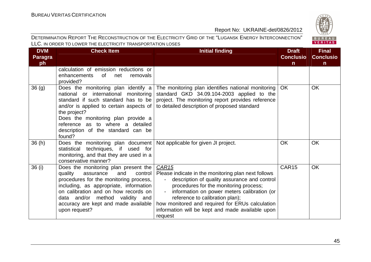

| <b>DVM</b>     | <b>Check Item</b>                                                                                                                                                                                                                                                                                          | <b>Initial finding</b>                                                                                                                                                                                                                                                                                                                                                                         | <b>Draft</b>     | <b>Final</b>     |
|----------------|------------------------------------------------------------------------------------------------------------------------------------------------------------------------------------------------------------------------------------------------------------------------------------------------------------|------------------------------------------------------------------------------------------------------------------------------------------------------------------------------------------------------------------------------------------------------------------------------------------------------------------------------------------------------------------------------------------------|------------------|------------------|
| <b>Paragra</b> |                                                                                                                                                                                                                                                                                                            |                                                                                                                                                                                                                                                                                                                                                                                                | <b>Conclusio</b> | <b>Conclusio</b> |
| ph             | calculation of emission reductions or<br>enhancements<br>of<br>net<br>removals<br>provided?                                                                                                                                                                                                                |                                                                                                                                                                                                                                                                                                                                                                                                | $\mathsf{n}$     | $\mathsf{n}$     |
| 36(g)          | Does the monitoring plan identify a<br>national or international<br>monitoring<br>standard if such standard has to be<br>and/or is applied to certain aspects of<br>the project?<br>Does the monitoring plan provide a<br>reference as to where a detailed<br>description of the standard can be<br>found? | The monitoring plan identifies national monitoring<br>standard GKD 34.09.104-2003 applied to the<br>project. The monitoring report provides reference<br>to detailed description of proposed standard                                                                                                                                                                                          | OK               | OK               |
| 36(h)          | Does the monitoring plan document   Not applicable for given JI project.<br>techniques, if used for<br>statistical<br>monitoring, and that they are used in a<br>conservative manner?                                                                                                                      |                                                                                                                                                                                                                                                                                                                                                                                                | <b>OK</b>        | <b>OK</b>        |
| 36(i)          | Does the monitoring plan present the<br>quality<br>control<br>assurance<br>and<br>procedures for the monitoring process,<br>including, as appropriate, information<br>on calibration and on how records on<br>data and/or method validity and<br>accuracy are kept and made available<br>upon request?     | CAR <sub>15</sub><br>Please indicate in the monitoring plan next follows<br>description of quality assurance and control<br>$\sim 100$<br>procedures for the monitoring process;<br>information on power meters calibration (or<br>$\sim$<br>reference to calibration plan);<br>how monitored and required for ERUs calculation<br>information will be kept and made available upon<br>request | CAR15            | <b>OK</b>        |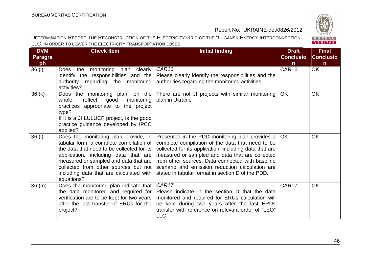

| <b>DVM</b>     | <b>Check Item</b>                                                                                                                                                                                                                                                                                               | <b>Initial finding</b>                                                                                                                                                                                                                                                                                                                                                       | <b>Draft</b>     | <b>Final</b>     |
|----------------|-----------------------------------------------------------------------------------------------------------------------------------------------------------------------------------------------------------------------------------------------------------------------------------------------------------------|------------------------------------------------------------------------------------------------------------------------------------------------------------------------------------------------------------------------------------------------------------------------------------------------------------------------------------------------------------------------------|------------------|------------------|
| <b>Paragra</b> |                                                                                                                                                                                                                                                                                                                 |                                                                                                                                                                                                                                                                                                                                                                              | <b>Conclusio</b> | <b>Conclusio</b> |
| ph             |                                                                                                                                                                                                                                                                                                                 |                                                                                                                                                                                                                                                                                                                                                                              | $\mathsf{n}$     | $\mathsf{n}$     |
| 36(j)          | monitoring plan clearly<br>Does the<br>identify the responsibilities and the<br>authority regarding the monitoring<br>activities?                                                                                                                                                                               | CAR <sub>16</sub><br>Please clearly identify the responsibilities and the<br>authorities regarding the monitoring activities                                                                                                                                                                                                                                                 | CAR16            | <b>OK</b>        |
| 36(k)          | Does the monitoring plan, on the<br>reflect<br>whole,<br>good<br>monitoring<br>practices appropriate to the project<br>type?<br>If it is a JI LULUCF project, is the good<br>practice guidance developed by IPCC<br>applied?                                                                                    | There are not JI projects with similar monitoring<br>plan in Ukraine                                                                                                                                                                                                                                                                                                         | <b>OK</b>        | <b>OK</b>        |
| 36 (I)         | Does the monitoring plan provide, in<br>tabular form, a complete compilation of<br>the data that need to be collected for its<br>application, including data that are<br>measured or sampled and data that are<br>collected from other sources but not<br>including data that are calculated with<br>equations? | Presented in the PDD monitoring plan provides a<br>complete compilation of the data that need to be<br>collected for its application, including data that are<br>measured or sampled and data that are collected<br>from other sources. Data connected with baseline<br>scenario and emission reduction calculation are<br>stated in tabular format in section D of the PDD. | <b>OK</b>        | <b>OK</b>        |
| 36(m)          | Does the monitoring plan indicate that<br>the data monitored and required for<br>verification are to be kept for two years<br>after the last transfer of ERUs for the<br>project?                                                                                                                               | CAR17<br>Please indicate in the section D that the data<br>monitored and required for ERUs calculation will<br>be kept during two years after the last ERUs<br>transfer with reference on relevant order of "LEO"<br><b>LLC</b>                                                                                                                                              | CAR17            | <b>OK</b>        |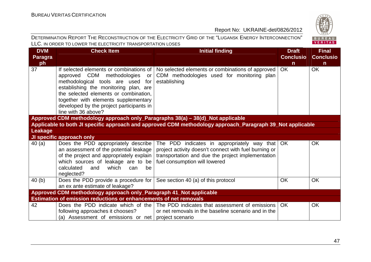# BUREAU<br>VERITAS

| <b>DVM</b> | <b>Check Item</b>                                                                                                                                                                                                                                                                                             | <b>Initial finding</b>                                                                                                                                                                     | <b>Draft</b>     | <b>Final</b>     |
|------------|---------------------------------------------------------------------------------------------------------------------------------------------------------------------------------------------------------------------------------------------------------------------------------------------------------------|--------------------------------------------------------------------------------------------------------------------------------------------------------------------------------------------|------------------|------------------|
| Paragra    |                                                                                                                                                                                                                                                                                                               |                                                                                                                                                                                            | <b>Conclusio</b> | <b>Conclusio</b> |
| ph         |                                                                                                                                                                                                                                                                                                               |                                                                                                                                                                                            | $\mathsf{n}$     | n                |
| 37         | If selected elements or combinations of<br>approved CDM methodologies<br>or<br>methodological tools are used for<br>establishing the monitoring plan, are<br>the selected elements or combination,<br>together with elements supplementary<br>developed by the project participants in<br>line with 36 above? | No selected elements or combinations of approved<br>CDM methodologies used for monitoring plan<br>establishing                                                                             | OK               | <b>OK</b>        |
|            | Approved CDM methodology approach only_Paragraphs 38(a) - 38(d)_Not applicable                                                                                                                                                                                                                                |                                                                                                                                                                                            |                  |                  |
|            |                                                                                                                                                                                                                                                                                                               | Applicable to both JI specific approach and approved CDM methodology approach_Paragraph 39_Not applicable                                                                                  |                  |                  |
| Leakage    |                                                                                                                                                                                                                                                                                                               |                                                                                                                                                                                            |                  |                  |
|            | JI specific approach only                                                                                                                                                                                                                                                                                     |                                                                                                                                                                                            |                  |                  |
| 40(a)      | Does the PDD appropriately describe<br>an assessment of the potential leakage<br>of the project and appropriately explain  <br>which sources of leakage are to be<br>calculated<br>and<br>which<br>be<br>can<br>neglected?                                                                                    | The PDD indicates in appropriately way that<br>project activity doesn't connect with fuel burning or<br>transportation and due the project implementation<br>fuel consumption will lowered | <b>OK</b>        | OK               |
| 40(b)      | Does the PDD provide a procedure for $\vert$ See section 40 (a) of this protocol<br>an ex ante estimate of leakage?                                                                                                                                                                                           |                                                                                                                                                                                            | <b>OK</b>        | OK               |
|            | Approved CDM methodology approach only_Paragraph 41_Not applicable                                                                                                                                                                                                                                            |                                                                                                                                                                                            |                  |                  |
|            | Estimation of emission reductions or enhancements of net removals                                                                                                                                                                                                                                             |                                                                                                                                                                                            |                  |                  |
| 42         | following approaches it chooses?<br>(a) Assessment of emissions or net   project scenario                                                                                                                                                                                                                     | Does the PDD indicate which of the The PDD indicates that assessment of emissions<br>or net removals in the baseline scenario and in the                                                   | <b>OK</b>        | OK               |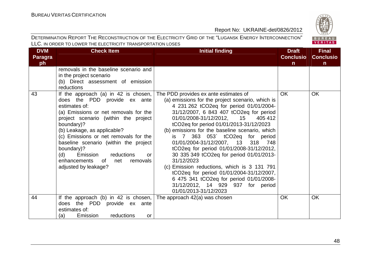

| <b>DVM</b> | <b>Check Item</b>                     | <b>Initial finding</b>                           | <b>Draft</b>     | <b>Final</b>     |
|------------|---------------------------------------|--------------------------------------------------|------------------|------------------|
| Paragra    |                                       |                                                  | <b>Conclusio</b> | <b>Conclusio</b> |
| ph         |                                       |                                                  | $\mathsf{n}$     | $\mathsf{n}$     |
|            | removals in the baseline scenario and |                                                  |                  |                  |
|            | in the project scenario               |                                                  |                  |                  |
|            | (b) Direct assessment of emission     |                                                  |                  |                  |
|            | reductions                            |                                                  |                  |                  |
| 43         | If the approach (a) in 42 is chosen,  | The PDD provides ex ante estimates of            | <b>OK</b>        | <b>OK</b>        |
|            | does the PDD provide ex ante          | (a) emissions for the project scenario, which is |                  |                  |
|            | estimates of:                         | 4 231 262 tCO2eq for period 01/01/2004-          |                  |                  |
|            | (a) Emissions or net removals for the | 31/12/2007, 6 843 407 tCO2eq for period          |                  |                  |
|            | project scenario (within the project  | 01/01/2008-31/12/2012, 15<br>405 412             |                  |                  |
|            | boundary)?                            | tCO2eq for period 01/01/2013-31/12/2023          |                  |                  |
|            | (b) Leakage, as applicable?           | (b) emissions for the baseline scenario, which   |                  |                  |
|            | (c) Emissions or net removals for the | is 7 363 053 tCO2eq for period                   |                  |                  |
|            | baseline scenario (within the project | 01/01/2004-31/12/2007, 13 318 748                |                  |                  |
|            | boundary)?                            | tCO2eq for period 01/01/2008-31/12/2012,         |                  |                  |
|            | Emission<br>(d)<br>reductions<br>or   | 30 335 349 tCO2eq for period 01/01/2013-         |                  |                  |
|            | removals<br>enhancements<br>of<br>net | 31/12/2023                                       |                  |                  |
|            | adjusted by leakage?                  | (c) Emission reductions, which is 3 131 791      |                  |                  |
|            |                                       | tCO2eq for period 01/01/2004-31/12/2007,         |                  |                  |
|            |                                       | 6 475 341 tCO2eq for period 01/01/2008-          |                  |                  |
|            |                                       | 31/12/2012, 14 929 937 for period                |                  |                  |
|            |                                       | 01/01/2013-31/12/2023                            |                  |                  |
| 44         | If the approach (b) in 42 is chosen,  | The approach 42(a) was chosen                    | <b>OK</b>        | <b>OK</b>        |
|            | does the PDD provide ex ante          |                                                  |                  |                  |
|            | estimates of:                         |                                                  |                  |                  |
|            | reductions<br>(a)<br>Emission<br>or   |                                                  |                  |                  |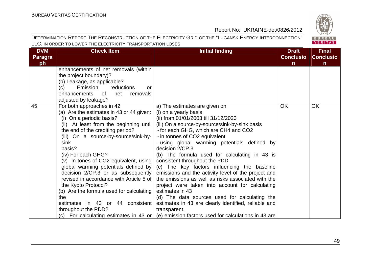| <b>DVM</b>     | <b>Check Item</b>                        | <b>Initial finding</b>                                                                              | <b>Draft</b>     | <b>Final</b>     |
|----------------|------------------------------------------|-----------------------------------------------------------------------------------------------------|------------------|------------------|
| <b>Paragra</b> |                                          |                                                                                                     | <b>Conclusio</b> | <b>Conclusio</b> |
| ph             |                                          |                                                                                                     | $\mathsf{n}$     | n                |
|                | enhancements of net removals (within     |                                                                                                     |                  |                  |
|                | the project boundary)?                   |                                                                                                     |                  |                  |
|                | (b) Leakage, as applicable?              |                                                                                                     |                  |                  |
|                | Emission<br>reductions<br>(c)<br>or      |                                                                                                     |                  |                  |
|                | enhancements<br>0f<br>net<br>removals    |                                                                                                     |                  |                  |
|                | adjusted by leakage?                     |                                                                                                     |                  |                  |
| 45             | For both approaches in 42                | a) The estimates are given on                                                                       | <b>OK</b>        | <b>OK</b>        |
|                | (a) Are the estimates in 43 or 44 given: | (i) on a yearly basis                                                                               |                  |                  |
|                | (i) On a periodic basis?                 | (ii) from 01/01/2003 till 31/12/2023                                                                |                  |                  |
|                | (ii) At least from the beginning until   | (iii) On a source-by-source/sink-by-sink basis                                                      |                  |                  |
|                | the end of the crediting period?         | - for each GHG, which are CH4 and CO2                                                               |                  |                  |
|                | (iii) On a source-by-source/sink-by-     | - in tonnes of CO2 equivalent                                                                       |                  |                  |
|                | sink                                     | - using global warming potentials defined by                                                        |                  |                  |
|                | basis?                                   | decision 2/CP.3                                                                                     |                  |                  |
|                | (iv) For each GHG?                       | (b) The formula used for calculating in 43 is                                                       |                  |                  |
|                | (v) In tones of CO2 equivalent, using    | consistent throughout the PDD                                                                       |                  |                  |
|                | global warming potentials defined by     | (c) The key factors influencing the baseline                                                        |                  |                  |
|                | decision $2/CP.3$ or as subsequently     | emissions and the activity level of the project and                                                 |                  |                  |
|                | revised in accordance with Article 5 of  | the emissions as well as risks associated with the                                                  |                  |                  |
|                | the Kyoto Protocol?                      | project were taken into account for calculating                                                     |                  |                  |
|                | (b) Are the formula used for calculating | estimates in 43                                                                                     |                  |                  |
|                | the                                      | (d) The data sources used for calculating the                                                       |                  |                  |
|                | estimates in 43 or 44 consistent         | estimates in 43 are clearly identified, reliable and                                                |                  |                  |
|                | throughout the PDD?                      | transparent.                                                                                        |                  |                  |
|                |                                          | (c) For calculating estimates in 43 or $\vert$ (e) emission factors used for calculations in 43 are |                  |                  |

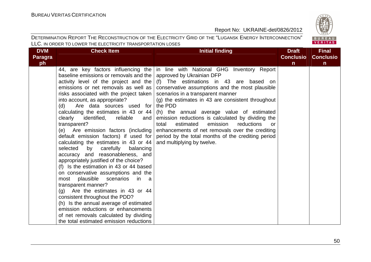

| <b>DVM</b>     | <b>Check Item</b>                                                           | <b>Initial finding</b>                                                         | <b>Draft</b>     | <b>Final</b>     |
|----------------|-----------------------------------------------------------------------------|--------------------------------------------------------------------------------|------------------|------------------|
| <b>Paragra</b> |                                                                             |                                                                                | <b>Conclusio</b> | <b>Conclusio</b> |
| ph             |                                                                             |                                                                                | $\mathsf{n}$     | $\mathbf n$      |
|                |                                                                             | 44, are key factors influencing the in line with National GHG Inventory Report |                  |                  |
|                | baseline emissions or removals and the   approved by Ukrainian DFP          |                                                                                |                  |                  |
|                | activity level of the project and the                                       | (f) The estimations in 43 are based on                                         |                  |                  |
|                | emissions or net removals as well as                                        | conservative assumptions and the most plausible                                |                  |                  |
|                | risks associated with the project taken   scenarios in a transparent manner |                                                                                |                  |                  |
|                | into account, as appropriate?                                               | (g) the estimates in 43 are consistent throughout                              |                  |                  |
|                | (d)<br>Are data sources used for                                            | the PDD                                                                        |                  |                  |
|                | calculating the estimates in 43 or 44 $\vert$                               | (h) the annual average value of estimated                                      |                  |                  |
|                | reliable<br>clearly identified,<br>and                                      | emission reductions is calculated by dividing the                              |                  |                  |
|                | transparent?                                                                | estimated<br>emission<br>reductions<br>total<br><b>or</b>                      |                  |                  |
|                | (e) Are emission factors (including                                         | enhancements of net removals over the crediting                                |                  |                  |
|                | default emission factors) if used for                                       | period by the total months of the crediting period                             |                  |                  |
|                | calculating the estimates in 43 or 44 $ $                                   | and multiplying by twelve.                                                     |                  |                  |
|                | selected<br>by carefully<br>balancing                                       |                                                                                |                  |                  |
|                | accuracy and reasonableness, and                                            |                                                                                |                  |                  |
|                | appropriately justified of the choice?                                      |                                                                                |                  |                  |
|                | (f) Is the estimation in 43 or 44 based                                     |                                                                                |                  |                  |
|                | on conservative assumptions and the                                         |                                                                                |                  |                  |
|                | plausible<br>scenarios<br>most<br>in<br>a a                                 |                                                                                |                  |                  |
|                | transparent manner?                                                         |                                                                                |                  |                  |
|                | $(q)$ Are the estimates in 43 or 44                                         |                                                                                |                  |                  |
|                | consistent throughout the PDD?                                              |                                                                                |                  |                  |
|                | (h) Is the annual average of estimated                                      |                                                                                |                  |                  |
|                | emission reductions or enhancements                                         |                                                                                |                  |                  |
|                | of net removals calculated by dividing                                      |                                                                                |                  |                  |
|                | the total estimated emission reductions                                     |                                                                                |                  |                  |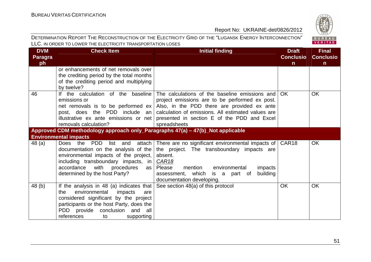| <b>DVM</b>     | <b>Check Item</b>                                                              | <b>Initial finding</b>                                                            | <b>Draft</b>     | <b>Final</b>     |
|----------------|--------------------------------------------------------------------------------|-----------------------------------------------------------------------------------|------------------|------------------|
| <b>Paragra</b> |                                                                                |                                                                                   | <b>Conclusio</b> | <b>Conclusio</b> |
| ph             |                                                                                |                                                                                   | $\mathsf{n}$     | $\mathbf n$      |
|                | or enhancements of net removals over                                           |                                                                                   |                  |                  |
|                | the crediting period by the total months                                       |                                                                                   |                  |                  |
|                | of the crediting period and multiplying                                        |                                                                                   |                  |                  |
|                | by twelve?                                                                     |                                                                                   |                  |                  |
| 46             | If the calculation of the baseline                                             | The calculations of the baseline emissions and                                    | OK.              | <b>OK</b>        |
|                | emissions or                                                                   | project emissions are to be performed ex post.                                    |                  |                  |
|                |                                                                                | net removals is to be performed $ex$ Also, in the PDD there are provided ex ante  |                  |                  |
|                | post, does the PDD include an                                                  | calculation of emissions. All estimated values are                                |                  |                  |
|                |                                                                                | illustrative ex ante emissions or net presented in section E of the PDD and Excel |                  |                  |
|                | removals calculation?                                                          | spreadsheets                                                                      |                  |                  |
|                | Approved CDM methodology approach only_Paragraphs 47(a) - 47(b)_Not applicable |                                                                                   |                  |                  |
|                | <b>Environmental impacts</b>                                                   |                                                                                   |                  |                  |
| 48 (a)         | Does the PDD<br>list<br>attach<br>and                                          | There are no significant environmental impacts of CAR18                           |                  | <b>OK</b>        |
|                | documentation on the analysis of the                                           | the project. The transboundary impacts are                                        |                  |                  |
|                | environmental impacts of the project,                                          | absent.                                                                           |                  |                  |
|                | including transboundary impacts, in                                            | <b>CAR18</b>                                                                      |                  |                  |
|                | with<br>accordance<br>procedures<br>as                                         | mention<br>environmental<br>impacts<br>Please                                     |                  |                  |
|                | determined by the host Party?                                                  | building<br>assessment, which<br>is a part of                                     |                  |                  |
|                |                                                                                | documentation developing.                                                         |                  |                  |
| 48(b)          | If the analysis in 48 (a) indicates that                                       | See section 48(a) of this protocol                                                | <b>OK</b>        | OK               |
|                | environmental<br>the<br>impacts<br>are                                         |                                                                                   |                  |                  |
|                | considered significant by the project                                          |                                                                                   |                  |                  |
|                | participants or the host Party, does the                                       |                                                                                   |                  |                  |
|                | PDD provide conclusion and all                                                 |                                                                                   |                  |                  |
|                | references<br>supporting<br>to                                                 |                                                                                   |                  |                  |

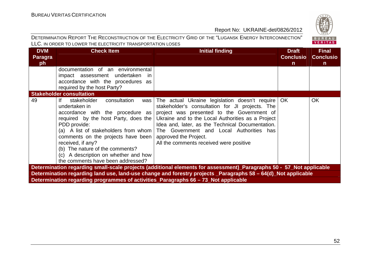

| <b>DVM</b><br>Paragra<br>ph                                                                                         | <b>Check Item</b>                                                                                                                                                                                                                                                                                                                                                             | <b>Initial finding</b>                                                                                                                                                                                                                                                                                                                                                        | <b>Draft</b><br><b>Conclusio</b><br>$\mathsf{n}$ | <b>Final</b><br><b>Conclusio</b><br>$\mathsf{n}$ |  |  |
|---------------------------------------------------------------------------------------------------------------------|-------------------------------------------------------------------------------------------------------------------------------------------------------------------------------------------------------------------------------------------------------------------------------------------------------------------------------------------------------------------------------|-------------------------------------------------------------------------------------------------------------------------------------------------------------------------------------------------------------------------------------------------------------------------------------------------------------------------------------------------------------------------------|--------------------------------------------------|--------------------------------------------------|--|--|
|                                                                                                                     | documentation of an environmental<br>impact assessment undertaken in<br>accordance with the procedures as<br>required by the host Party?                                                                                                                                                                                                                                      |                                                                                                                                                                                                                                                                                                                                                                               |                                                  |                                                  |  |  |
|                                                                                                                     | <b>Stakeholder consultation</b>                                                                                                                                                                                                                                                                                                                                               |                                                                                                                                                                                                                                                                                                                                                                               |                                                  |                                                  |  |  |
| 49                                                                                                                  | lf.<br>stakeholder<br>consultation<br>was<br>undertaken in<br>accordance with the procedure as<br>required by the host Party, does the<br>PDD provide:<br>(a) A list of stakeholders from whom $ $<br>comments on the projects have been<br>received, if any?<br>(b) The nature of the comments?<br>(c) A description on whether and how<br>the comments have been addressed? | The actual Ukraine legislation doesn't require   OK<br>stakeholder's consultation for JI projects. The<br>project was presented to the Government of<br>Ukraine and to the Local Authorities as a Project<br>Idea and, later, as the Technical Documentation.<br>The Government and Local Authorities has<br>approved the Project.<br>All the comments received were positive |                                                  | <b>OK</b>                                        |  |  |
| Determination regarding small-scale projects (additional elements for assessment)_Paragraphs 50 - 57_Not applicable |                                                                                                                                                                                                                                                                                                                                                                               |                                                                                                                                                                                                                                                                                                                                                                               |                                                  |                                                  |  |  |
|                                                                                                                     |                                                                                                                                                                                                                                                                                                                                                                               | Determination regarding land use, land-use change and forestry projects _Paragraphs 58 - 64(d)_Not applicable                                                                                                                                                                                                                                                                 |                                                  |                                                  |  |  |
|                                                                                                                     | Determination regarding programmes of activities_Paragraphs 66 - 73_Not applicable                                                                                                                                                                                                                                                                                            |                                                                                                                                                                                                                                                                                                                                                                               |                                                  |                                                  |  |  |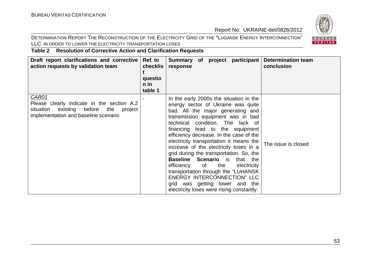#### DETERMINATION REPORT THE RECONSTRUCTION OF THE ELECTRICITY GRID OF THE "LUGANSK ENERGY INTERCONNECTION" LLC. IN ORDER TO LOWER THE ELECTRICITY TRANSPORTATION LOSES



**Table 2 Resolution of Corrective Action and Clarification Requests** 

| Draft report clarifications and corrective<br>action requests by validation team                                                              | Ref. to<br>checklis<br>questio<br>n in<br>table 1 | participant<br><b>Determination team</b><br>Summary of project<br>conclusion<br>response                                                                                                                                                                                                                                                                                                                                                                                                                                                                                                                                                                                        |
|-----------------------------------------------------------------------------------------------------------------------------------------------|---------------------------------------------------|---------------------------------------------------------------------------------------------------------------------------------------------------------------------------------------------------------------------------------------------------------------------------------------------------------------------------------------------------------------------------------------------------------------------------------------------------------------------------------------------------------------------------------------------------------------------------------------------------------------------------------------------------------------------------------|
| CAR01<br>Please clearly indicate in the section A.2<br>existing before<br>situation<br>the<br>project<br>implementation and baseline scenario |                                                   | In the early 2000s the situation in the<br>energy sector of Ukraine was quite<br>bad. All the major generating and<br>transmission equipment was in bad<br>technical condition. The lack of<br>financing lead to the equipment<br>efficiency decrease. In the case of the<br>electricity transportation it means the<br>The issue is closed<br>increase of the electricity loses in a<br>grid during the transportation. So, the<br><b>Baseline Scenario</b> is that the<br>the<br>efficiency<br>of<br>electricity<br>transportation through the "LUHANSK"<br><b>ENERGY INTERCONNECTION" LLC</b><br>grid was getting lower and the<br>electricity loses were rising constantly. |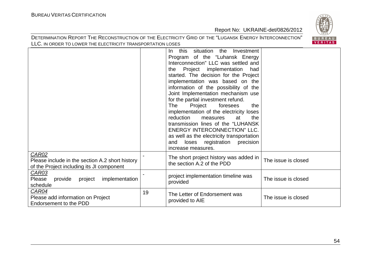

|                                                                                                       |    | situation<br>this<br>the<br>Investment<br>In.<br>Program of the "Luhansk Energy<br>Interconnection" LLC was settled and<br>Project implementation<br>had<br>the<br>started. The decision for the Project<br>implementation was based on the<br>information of the possibility of the<br>Joint Implementation mechanism use<br>for the partial investment refund.<br><b>The</b><br>Project<br>foresees<br>the<br>implementation of the electricity loses<br>reduction<br>the<br>measures<br>at<br>transmission lines of the "LUHANSK"<br>ENERGY INTERCONNECTION" LLC.<br>as well as the electricity transportation<br>registration<br>precision<br>loses<br>and |                     |
|-------------------------------------------------------------------------------------------------------|----|----------------------------------------------------------------------------------------------------------------------------------------------------------------------------------------------------------------------------------------------------------------------------------------------------------------------------------------------------------------------------------------------------------------------------------------------------------------------------------------------------------------------------------------------------------------------------------------------------------------------------------------------------------------|---------------------|
|                                                                                                       |    | increase measures.                                                                                                                                                                                                                                                                                                                                                                                                                                                                                                                                                                                                                                             |                     |
| CAR02<br>Please include in the section A.2 short history<br>of the Project including its JI component |    | The short project history was added in<br>the section A.2 of the PDD                                                                                                                                                                                                                                                                                                                                                                                                                                                                                                                                                                                           | The issue is closed |
| <b>CAR03</b><br>Please<br>provide<br>project<br>implementation<br>schedule                            |    | project implementation timeline was<br>provided                                                                                                                                                                                                                                                                                                                                                                                                                                                                                                                                                                                                                | The issue is closed |
| CAR04<br>Please add information on Project<br>Endorsement to the PDD                                  | 19 | The Letter of Endorsement was<br>provided to AIE                                                                                                                                                                                                                                                                                                                                                                                                                                                                                                                                                                                                               | The issue is closed |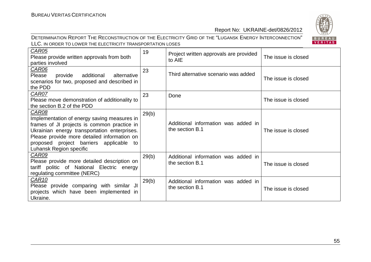

| <b>CAR05</b><br>Please provide written approvals from both<br>parties involved                                                                                                                                                                                                     | 19    | Project written approvals are provided<br>to AIE       | The issue is closed |
|------------------------------------------------------------------------------------------------------------------------------------------------------------------------------------------------------------------------------------------------------------------------------------|-------|--------------------------------------------------------|---------------------|
| <b>CAR06</b><br>Please<br>provide<br>additional<br>alternative<br>scenarios for two, proposed and described in<br>the PDD                                                                                                                                                          | 23    | Third alternative scenario was added                   | The issue is closed |
| <b>CAR07</b><br>Please move demonstration of additionality to<br>the section B.2 of the PDD                                                                                                                                                                                        | 23    | Done                                                   | The issue is closed |
| <b>CAR08</b><br>Implementation of energy saving measures in<br>frames of JI projects is common practice in<br>Ukrainian energy transportation enterprises.<br>Please provide more detailed information on<br>proposed project barriers applicable<br>to<br>Luhansk Region specific | 29(b) | Additional information was added in<br>the section B.1 | The issue is closed |
| CAR09<br>Please provide more detailed description on<br>tariff politic of National Electric energy<br>regulating committee (NERC)                                                                                                                                                  | 29(b) | Additional information was added in<br>the section B.1 | The issue is closed |
| CAR <sub>10</sub><br>Please provide comparing with similar JI<br>projects which have been implemented in<br>Ukraine.                                                                                                                                                               | 29(b) | Additional information was added in<br>the section B.1 | The issue is closed |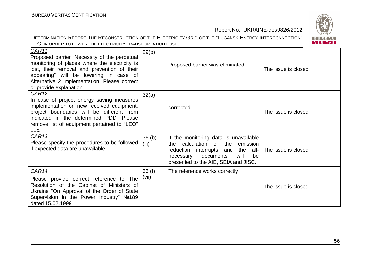

| CAR11<br>Proposed barrier "Necessity of the perpetual<br>monitoring of places where the electricity is<br>lost, their removal and prevention of their<br>appearing" will be lowering in case of<br>Alternative 2 implementation. Please correct<br>or provide explanation | 29(b)                      | Proposed barrier was eliminated                                                                                                                                                                      | The issue is closed |
|---------------------------------------------------------------------------------------------------------------------------------------------------------------------------------------------------------------------------------------------------------------------------|----------------------------|------------------------------------------------------------------------------------------------------------------------------------------------------------------------------------------------------|---------------------|
| CAR <sub>12</sub><br>In case of project energy saving measures<br>implementation on new received equipment,<br>project boundaries will be different from<br>indicated in the determined PDD. Please<br>remove list of equipment pertained to "LEO"<br>LLc.                | 32(a)                      | corrected                                                                                                                                                                                            | The issue is closed |
| CAR <sub>13</sub><br>Please specify the procedures to be followed<br>if expected data are unavailable                                                                                                                                                                     | 36 <sub>(b)</sub><br>(iii) | If the monitoring data is unavailable<br>calculation of the<br>emission<br>the.<br>reduction interrupts and the all-<br>documents<br>will<br>be<br>necessary<br>presented to the AIE, SEIA and JISC. | The issue is closed |
| CAR14<br>Please provide correct reference to The<br>Resolution of the Cabinet of Ministers of<br>Ukraine "On Approval of the Order of State<br>Supervision in the Power Industry" Nº189<br>dated 15.02.1999                                                               | 36(f)<br>(vii)             | The reference works correctly                                                                                                                                                                        | The issue is closed |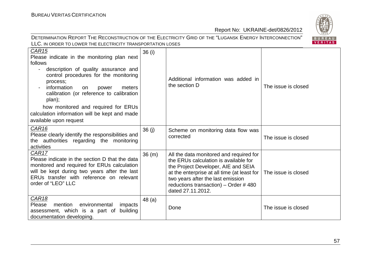

| CAR <sub>15</sub><br>Please indicate in the monitoring plan next<br>follows<br>description of quality assurance and<br>$\blacksquare$<br>control procedures for the monitoring<br>process;<br>information<br>meters<br>on<br>power<br>$\overline{\phantom{a}}$<br>calibration (or reference to calibration<br>plan);<br>how monitored and required for ERUs<br>calculation information will be kept and made<br>available upon request | 36 (i) | Additional information was added in<br>the section D                                                                                                                                                                                                                     | The issue is closed |
|----------------------------------------------------------------------------------------------------------------------------------------------------------------------------------------------------------------------------------------------------------------------------------------------------------------------------------------------------------------------------------------------------------------------------------------|--------|--------------------------------------------------------------------------------------------------------------------------------------------------------------------------------------------------------------------------------------------------------------------------|---------------------|
| <b>CAR16</b><br>Please clearly identify the responsibilities and<br>the authorities regarding the monitoring<br>activities                                                                                                                                                                                                                                                                                                             | 36(j)  | Scheme on monitoring data flow was<br>corrected                                                                                                                                                                                                                          | The issue is closed |
| <b>CAR17</b><br>Please indicate in the section D that the data<br>monitored and required for ERUs calculation<br>will be kept during two years after the last<br>ERUs transfer with reference on relevant<br>order of "LEO" LLC                                                                                                                                                                                                        | 36(m)  | All the data monitored and required for<br>the ERUs calculation is available for<br>the Project Developer, AIE and SEIA<br>at the enterprise at all time (at least for<br>two years after the last emission<br>reductions transaction) – Order #480<br>dated 27.11.2012. | The issue is closed |
| <b>CAR18</b><br>Please<br>mention<br>environmental<br>impacts<br>assessment, which is a part of<br>building<br>documentation developing.                                                                                                                                                                                                                                                                                               | 48 (a) | Done                                                                                                                                                                                                                                                                     | The issue is closed |